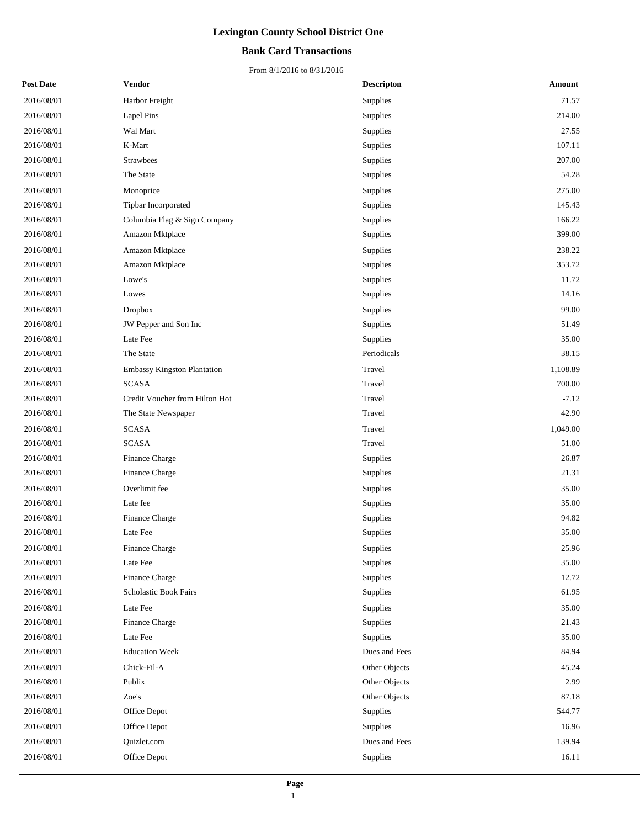## **Bank Card Transactions**

| <b>Post Date</b> | Vendor                         | <b>Descripton</b> | Amount   |
|------------------|--------------------------------|-------------------|----------|
| 2016/08/01       | Harbor Freight                 | Supplies          | 71.57    |
| 2016/08/01       | <b>Lapel Pins</b>              | Supplies          | 214.00   |
| 2016/08/01       | Wal Mart                       | Supplies          | 27.55    |
| 2016/08/01       | K-Mart                         | Supplies          | 107.11   |
| 2016/08/01       | <b>Strawbees</b>               | Supplies          | 207.00   |
| 2016/08/01       | The State                      | Supplies          | 54.28    |
| 2016/08/01       | Monoprice                      | Supplies          | 275.00   |
| 2016/08/01       | Tipbar Incorporated            | Supplies          | 145.43   |
| 2016/08/01       | Columbia Flag & Sign Company   | Supplies          | 166.22   |
| 2016/08/01       | Amazon Mktplace                | Supplies          | 399.00   |
| 2016/08/01       | Amazon Mktplace                | Supplies          | 238.22   |
| 2016/08/01       | Amazon Mktplace                | Supplies          | 353.72   |
| 2016/08/01       | Lowe's                         | Supplies          | 11.72    |
| 2016/08/01       | Lowes                          | Supplies          | 14.16    |
| 2016/08/01       | <b>Dropbox</b>                 | Supplies          | 99.00    |
| 2016/08/01       | JW Pepper and Son Inc          | Supplies          | 51.49    |
| 2016/08/01       | Late Fee                       | Supplies          | 35.00    |
| 2016/08/01       | The State                      | Periodicals       | 38.15    |
| 2016/08/01       | Embassy Kingston Plantation    | Travel            | 1,108.89 |
| 2016/08/01       | <b>SCASA</b>                   | Travel            | 700.00   |
| 2016/08/01       | Credit Voucher from Hilton Hot | Travel            | $-7.12$  |
| 2016/08/01       | The State Newspaper            | Travel            | 42.90    |
| 2016/08/01       | <b>SCASA</b>                   | Travel            | 1,049.00 |
| 2016/08/01       | <b>SCASA</b>                   | Travel            | 51.00    |
| 2016/08/01       | Finance Charge                 | Supplies          | 26.87    |
| 2016/08/01       | Finance Charge                 | Supplies          | 21.31    |
| 2016/08/01       | Overlimit fee                  | Supplies          | 35.00    |
| 2016/08/01       | Late fee                       | Supplies          | 35.00    |
| 2016/08/01       | Finance Charge                 | Supplies          | 94.82    |
| 2016/08/01       | Late Fee                       | Supplies          | 35.00    |
| 2016/08/01       | Finance Charge                 | Supplies          | 25.96    |
| 2016/08/01       | Late Fee                       | Supplies          | 35.00    |
| 2016/08/01       | Finance Charge                 | Supplies          | 12.72    |
| 2016/08/01       | Scholastic Book Fairs          | Supplies          | 61.95    |
| 2016/08/01       | Late Fee                       | Supplies          | 35.00    |
| 2016/08/01       | Finance Charge                 | Supplies          | 21.43    |
| 2016/08/01       | Late Fee                       | Supplies          | 35.00    |
| 2016/08/01       | <b>Education Week</b>          | Dues and Fees     | 84.94    |
| 2016/08/01       | Chick-Fil-A                    | Other Objects     | 45.24    |
| 2016/08/01       | Publix                         | Other Objects     | 2.99     |
| 2016/08/01       | Zoe's                          | Other Objects     | 87.18    |
| 2016/08/01       | Office Depot                   | Supplies          | 544.77   |
| 2016/08/01       | Office Depot                   | Supplies          | 16.96    |
| 2016/08/01       | Quizlet.com                    | Dues and Fees     | 139.94   |
| 2016/08/01       | Office Depot                   | Supplies          | 16.11    |
|                  |                                |                   |          |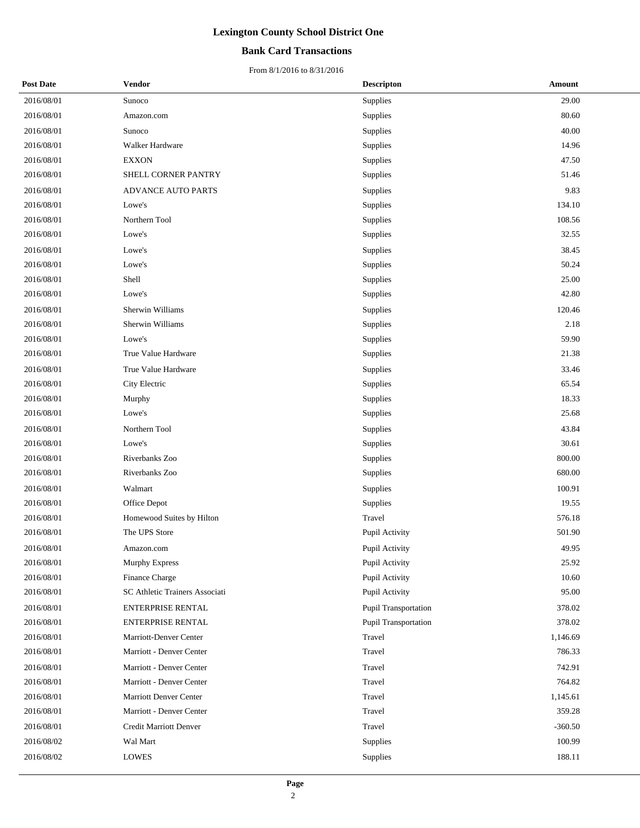## **Bank Card Transactions**

| <b>Post Date</b> | Vendor                         | <b>Descripton</b>    | Amount    |
|------------------|--------------------------------|----------------------|-----------|
| 2016/08/01       | Sunoco                         | Supplies             | 29.00     |
| 2016/08/01       | Amazon.com                     | Supplies             | 80.60     |
| 2016/08/01       | Sunoco                         | Supplies             | 40.00     |
| 2016/08/01       | Walker Hardware                | Supplies             | 14.96     |
| 2016/08/01       | <b>EXXON</b>                   | Supplies             | 47.50     |
| 2016/08/01       | SHELL CORNER PANTRY            | Supplies             | 51.46     |
| 2016/08/01       | <b>ADVANCE AUTO PARTS</b>      | Supplies             | 9.83      |
| 2016/08/01       | Lowe's                         | Supplies             | 134.10    |
| 2016/08/01       | Northern Tool                  | Supplies             | 108.56    |
| 2016/08/01       | Lowe's                         | Supplies             | 32.55     |
| 2016/08/01       | Lowe's                         | Supplies             | 38.45     |
| 2016/08/01       | Lowe's                         | Supplies             | 50.24     |
| 2016/08/01       | Shell                          | Supplies             | 25.00     |
| 2016/08/01       | Lowe's                         | Supplies             | 42.80     |
| 2016/08/01       | Sherwin Williams               | Supplies             | 120.46    |
| 2016/08/01       | Sherwin Williams               | Supplies             | 2.18      |
| 2016/08/01       | Lowe's                         | Supplies             | 59.90     |
| 2016/08/01       | True Value Hardware            | Supplies             | 21.38     |
| 2016/08/01       | True Value Hardware            | Supplies             | 33.46     |
| 2016/08/01       | City Electric                  | Supplies             | 65.54     |
| 2016/08/01       | Murphy                         | Supplies             | 18.33     |
| 2016/08/01       | Lowe's                         | Supplies             | 25.68     |
| 2016/08/01       | Northern Tool                  | Supplies             | 43.84     |
| 2016/08/01       | Lowe's                         | Supplies             | 30.61     |
| 2016/08/01       | Riverbanks Zoo                 | Supplies             | 800.00    |
| 2016/08/01       | Riverbanks Zoo                 | Supplies             | 680.00    |
| 2016/08/01       | Walmart                        | Supplies             | 100.91    |
| 2016/08/01       | Office Depot                   | Supplies             | 19.55     |
| 2016/08/01       | Homewood Suites by Hilton      | Travel               | 576.18    |
| 2016/08/01       | The UPS Store                  | Pupil Activity       | 501.90    |
| 2016/08/01       | Amazon.com                     | Pupil Activity       | 49.95     |
| 2016/08/01       | Murphy Express                 | Pupil Activity       | 25.92     |
| 2016/08/01       | Finance Charge                 | Pupil Activity       | 10.60     |
| 2016/08/01       | SC Athletic Trainers Associati | Pupil Activity       | 95.00     |
| 2016/08/01       | ENTERPRISE RENTAL              | Pupil Transportation | 378.02    |
| 2016/08/01       | ENTERPRISE RENTAL              | Pupil Transportation | 378.02    |
| 2016/08/01       | Marriott-Denver Center         | Travel               | 1,146.69  |
| 2016/08/01       | Marriott - Denver Center       | Travel               | 786.33    |
| 2016/08/01       | Marriott - Denver Center       | Travel               | 742.91    |
| 2016/08/01       | Marriott - Denver Center       | Travel               | 764.82    |
| 2016/08/01       | <b>Marriott Denver Center</b>  | Travel               | 1,145.61  |
| 2016/08/01       | Marriott - Denver Center       | Travel               | 359.28    |
| 2016/08/01       | Credit Marriott Denver         | Travel               | $-360.50$ |
| 2016/08/02       | Wal Mart                       | Supplies             | 100.99    |
| 2016/08/02       | <b>LOWES</b>                   | Supplies             | 188.11    |
|                  |                                |                      |           |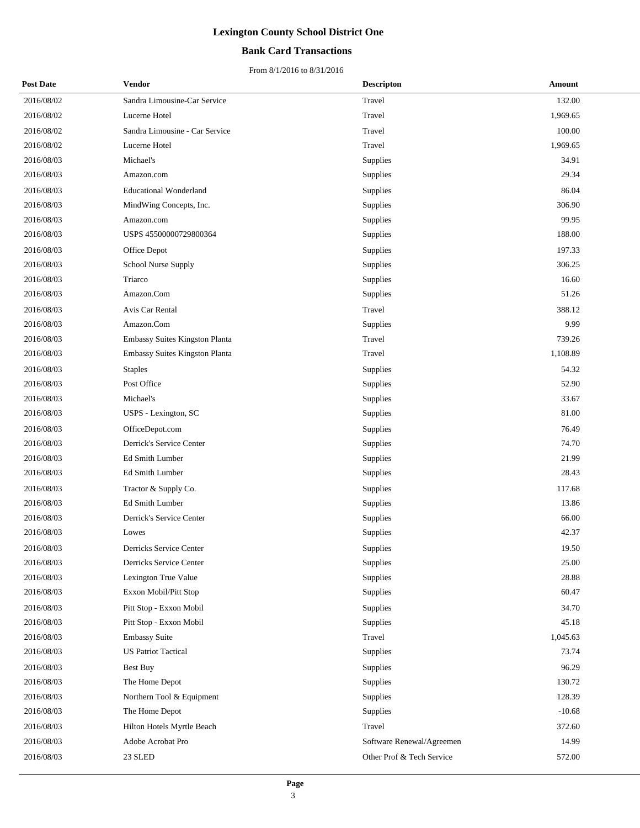## **Bank Card Transactions**

| <b>Post Date</b> | Vendor                         | <b>Descripton</b>         | Amount   |
|------------------|--------------------------------|---------------------------|----------|
| 2016/08/02       | Sandra Limousine-Car Service   | Travel                    | 132.00   |
| 2016/08/02       | Lucerne Hotel                  | Travel                    | 1,969.65 |
| 2016/08/02       | Sandra Limousine - Car Service | Travel                    | 100.00   |
| 2016/08/02       | Lucerne Hotel                  | Travel                    | 1,969.65 |
| 2016/08/03       | Michael's                      | Supplies                  | 34.91    |
| 2016/08/03       | Amazon.com                     | Supplies                  | 29.34    |
| 2016/08/03       | <b>Educational Wonderland</b>  | Supplies                  | 86.04    |
| 2016/08/03       | MindWing Concepts, Inc.        | Supplies                  | 306.90   |
| 2016/08/03       | Amazon.com                     | Supplies                  | 99.95    |
| 2016/08/03       | USPS 45500000729800364         | Supplies                  | 188.00   |
| 2016/08/03       | Office Depot                   | Supplies                  | 197.33   |
| 2016/08/03       | School Nurse Supply            | Supplies                  | 306.25   |
| 2016/08/03       | Triarco                        | Supplies                  | 16.60    |
| 2016/08/03       | Amazon.Com                     | Supplies                  | 51.26    |
| 2016/08/03       | Avis Car Rental                | Travel                    | 388.12   |
| 2016/08/03       | Amazon.Com                     | Supplies                  | 9.99     |
| 2016/08/03       | Embassy Suites Kingston Planta | Travel                    | 739.26   |
| 2016/08/03       | Embassy Suites Kingston Planta | Travel                    | 1,108.89 |
| 2016/08/03       | <b>Staples</b>                 | Supplies                  | 54.32    |
| 2016/08/03       | Post Office                    | Supplies                  | 52.90    |
| 2016/08/03       | Michael's                      | Supplies                  | 33.67    |
| 2016/08/03       | USPS - Lexington, SC           | Supplies                  | 81.00    |
| 2016/08/03       | OfficeDepot.com                | Supplies                  | 76.49    |
| 2016/08/03       | Derrick's Service Center       | Supplies                  | 74.70    |
| 2016/08/03       | Ed Smith Lumber                | Supplies                  | 21.99    |
| 2016/08/03       | Ed Smith Lumber                | Supplies                  | 28.43    |
| 2016/08/03       | Tractor & Supply Co.           | Supplies                  | 117.68   |
| 2016/08/03       | Ed Smith Lumber                | Supplies                  | 13.86    |
| 2016/08/03       | Derrick's Service Center       | Supplies                  | 66.00    |
| 2016/08/03       | Lowes                          | Supplies                  | 42.37    |
| 2016/08/03       | Derricks Service Center        | Supplies                  | 19.50    |
| 2016/08/03       | Derricks Service Center        | Supplies                  | 25.00    |
| 2016/08/03       | Lexington True Value           | Supplies                  | 28.88    |
| 2016/08/03       | Exxon Mobil/Pitt Stop          | Supplies                  | 60.47    |
| 2016/08/03       | Pitt Stop - Exxon Mobil        | Supplies                  | 34.70    |
| 2016/08/03       | Pitt Stop - Exxon Mobil        | Supplies                  | 45.18    |
| 2016/08/03       | <b>Embassy Suite</b>           | Travel                    | 1,045.63 |
| 2016/08/03       | <b>US Patriot Tactical</b>     | Supplies                  | 73.74    |
| 2016/08/03       | Best Buy                       | Supplies                  | 96.29    |
| 2016/08/03       | The Home Depot                 | Supplies                  | 130.72   |
| 2016/08/03       | Northern Tool & Equipment      | Supplies                  | 128.39   |
| 2016/08/03       | The Home Depot                 | Supplies                  | $-10.68$ |
| 2016/08/03       | Hilton Hotels Myrtle Beach     | Travel                    | 372.60   |
| 2016/08/03       | Adobe Acrobat Pro              | Software Renewal/Agreemen | 14.99    |
| 2016/08/03       | 23 SLED                        | Other Prof & Tech Service | 572.00   |
|                  |                                |                           |          |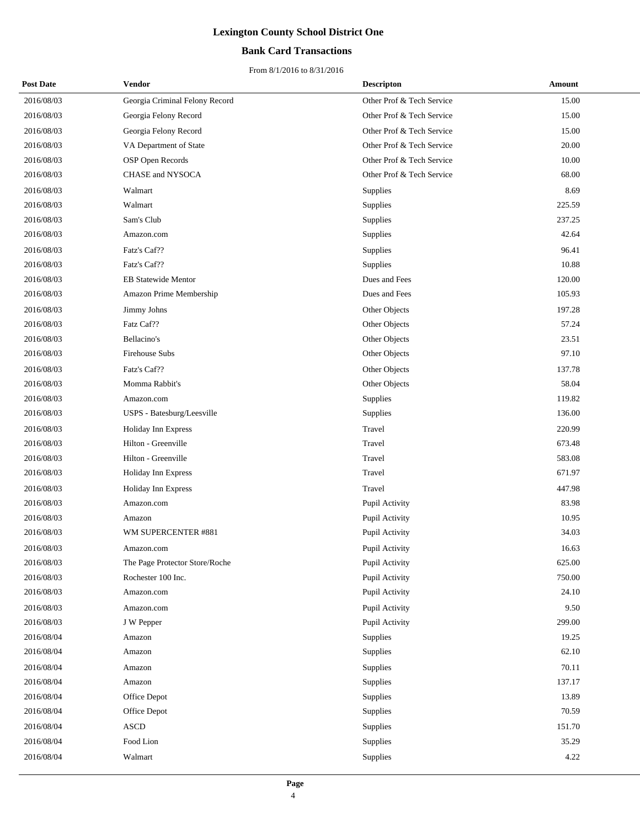## **Bank Card Transactions**

| <b>Post Date</b> | Vendor                         | <b>Descripton</b>         | Amount |
|------------------|--------------------------------|---------------------------|--------|
| 2016/08/03       | Georgia Criminal Felony Record | Other Prof & Tech Service | 15.00  |
| 2016/08/03       | Georgia Felony Record          | Other Prof & Tech Service | 15.00  |
| 2016/08/03       | Georgia Felony Record          | Other Prof & Tech Service | 15.00  |
| 2016/08/03       | VA Department of State         | Other Prof & Tech Service | 20.00  |
| 2016/08/03       | OSP Open Records               | Other Prof & Tech Service | 10.00  |
| 2016/08/03       | CHASE and NYSOCA               | Other Prof & Tech Service | 68.00  |
| 2016/08/03       | Walmart                        | Supplies                  | 8.69   |
| 2016/08/03       | Walmart                        | Supplies                  | 225.59 |
| 2016/08/03       | Sam's Club                     | Supplies                  | 237.25 |
| 2016/08/03       | Amazon.com                     | Supplies                  | 42.64  |
| 2016/08/03       | Fatz's Caf??                   | Supplies                  | 96.41  |
| 2016/08/03       | Fatz's Caf??                   | Supplies                  | 10.88  |
| 2016/08/03       | <b>EB Statewide Mentor</b>     | Dues and Fees             | 120.00 |
| 2016/08/03       | Amazon Prime Membership        | Dues and Fees             | 105.93 |
| 2016/08/03       | Jimmy Johns                    | Other Objects             | 197.28 |
| 2016/08/03       | Fatz Caf??                     | Other Objects             | 57.24  |
| 2016/08/03       | Bellacino's                    | Other Objects             | 23.51  |
| 2016/08/03       | <b>Firehouse Subs</b>          | Other Objects             | 97.10  |
| 2016/08/03       | Fatz's Caf??                   | Other Objects             | 137.78 |
| 2016/08/03       | Momma Rabbit's                 | Other Objects             | 58.04  |
| 2016/08/03       | Amazon.com                     | Supplies                  | 119.82 |
| 2016/08/03       | USPS - Batesburg/Leesville     | Supplies                  | 136.00 |
| 2016/08/03       | Holiday Inn Express            | Travel                    | 220.99 |
| 2016/08/03       | Hilton - Greenville            | Travel                    | 673.48 |
| 2016/08/03       | Hilton - Greenville            | Travel                    | 583.08 |
| 2016/08/03       | Holiday Inn Express            | Travel                    | 671.97 |
| 2016/08/03       | Holiday Inn Express            | Travel                    | 447.98 |
| 2016/08/03       | Amazon.com                     | Pupil Activity            | 83.98  |
| 2016/08/03       | Amazon                         | Pupil Activity            | 10.95  |
| 2016/08/03       | WM SUPERCENTER #881            | Pupil Activity            | 34.03  |
| 2016/08/03       | Amazon.com                     | Pupil Activity            | 16.63  |
| 2016/08/03       | The Page Protector Store/Roche | Pupil Activity            | 625.00 |
| 2016/08/03       | Rochester 100 Inc.             | Pupil Activity            | 750.00 |
| 2016/08/03       | Amazon.com                     | Pupil Activity            | 24.10  |
| 2016/08/03       | Amazon.com                     | Pupil Activity            | 9.50   |
| 2016/08/03       | J W Pepper                     | Pupil Activity            | 299.00 |
| 2016/08/04       | Amazon                         | Supplies                  | 19.25  |
| 2016/08/04       | Amazon                         | Supplies                  | 62.10  |
| 2016/08/04       | Amazon                         | Supplies                  | 70.11  |
| 2016/08/04       | Amazon                         | Supplies                  | 137.17 |
| 2016/08/04       | Office Depot                   | Supplies                  | 13.89  |
| 2016/08/04       | Office Depot                   | Supplies                  | 70.59  |
| 2016/08/04       | <b>ASCD</b>                    | Supplies                  | 151.70 |
| 2016/08/04       | Food Lion                      | Supplies                  | 35.29  |
| 2016/08/04       | Walmart                        | Supplies                  | 4.22   |
|                  |                                |                           |        |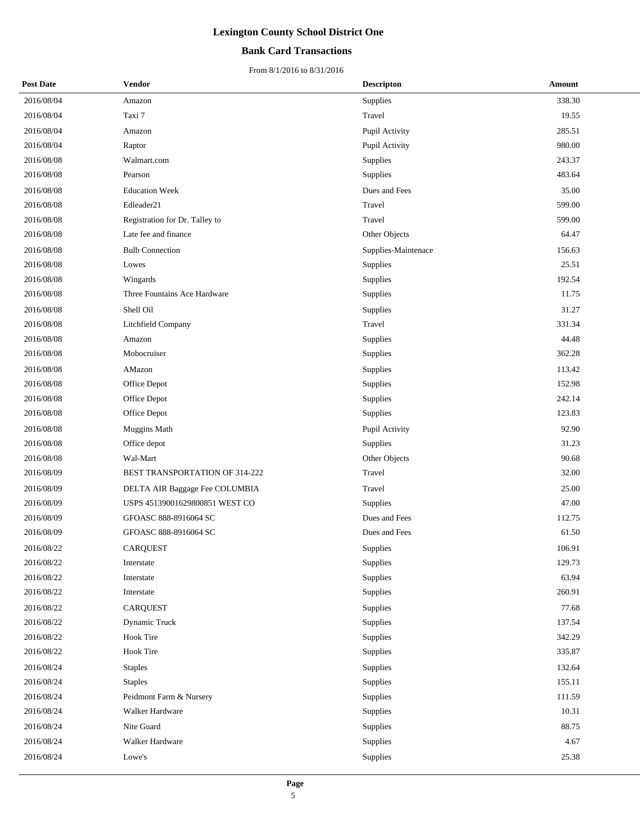## **Bank Card Transactions**

| <b>Post Date</b> | <b>Vendor</b>                  | <b>Descripton</b>   | Amount |
|------------------|--------------------------------|---------------------|--------|
| 2016/08/04       | Amazon                         | Supplies            | 338.30 |
| 2016/08/04       | Taxi 7                         | Travel              | 19.55  |
| 2016/08/04       | Amazon                         | Pupil Activity      | 285.51 |
| 2016/08/04       | Raptor                         | Pupil Activity      | 980.00 |
| 2016/08/08       | Walmart.com                    | <b>Supplies</b>     | 243.37 |
| 2016/08/08       | Pearson                        | Supplies            | 483.64 |
| 2016/08/08       | <b>Education Week</b>          | Dues and Fees       | 35.00  |
| 2016/08/08       | Edleader21                     | Travel              | 599.00 |
| 2016/08/08       | Registration for Dr. Talley to | Travel              | 599.00 |
| 2016/08/08       | Late fee and finance           | Other Objects       | 64.47  |
| 2016/08/08       | <b>Bulb Connection</b>         | Supplies-Maintenace | 156.63 |
| 2016/08/08       | Lowes                          | Supplies            | 25.51  |
| 2016/08/08       | Wingards                       | Supplies            | 192.54 |
| 2016/08/08       | Three Fountains Ace Hardware   | Supplies            | 11.75  |
| 2016/08/08       | Shell Oil                      | Supplies            | 31.27  |
| 2016/08/08       | Litchfield Company             | Travel              | 331.34 |
| 2016/08/08       | Amazon                         | <b>Supplies</b>     | 44.48  |
| 2016/08/08       | Mobocruiser                    | Supplies            | 362.28 |
| 2016/08/08       | AMazon                         | Supplies            | 113.42 |
| 2016/08/08       | Office Depot                   | Supplies            | 152.98 |
| 2016/08/08       | Office Depot                   | Supplies            | 242.14 |
| 2016/08/08       | Office Depot                   | Supplies            | 123.83 |
| 2016/08/08       | Muggins Math                   | Pupil Activity      | 92.90  |
| 2016/08/08       | Office depot                   | Supplies            | 31.23  |
| 2016/08/08       | Wal-Mart                       | Other Objects       | 90.68  |
| 2016/08/09       | BEST TRANSPORTATION OF 314-222 | Travel              | 32.00  |
| 2016/08/09       | DELTA AIR Baggage Fee COLUMBIA | Travel              | 25.00  |
| 2016/08/09       | USPS 45139001629800851 WEST CO | Supplies            | 47.00  |
| 2016/08/09       | GFOASC 888-8916064 SC          | Dues and Fees       | 112.75 |
| 2016/08/09       | GFOASC 888-8916064 SC          | Dues and Fees       | 61.50  |
| 2016/08/22       | CARQUEST                       | Supplies            | 106.91 |
| 2016/08/22       | Interstate                     | Supplies            | 129.73 |
| 2016/08/22       | Interstate                     | <b>Supplies</b>     | 63.94  |
| 2016/08/22       | Interstate                     | Supplies            | 260.91 |
| 2016/08/22       | <b>CARQUEST</b>                | Supplies            | 77.68  |
| 2016/08/22       | Dynamic Truck                  | Supplies            | 137.54 |
| 2016/08/22       | <b>Hook Tire</b>               | Supplies            | 342.29 |
| 2016/08/22       | <b>Hook Tire</b>               | Supplies            | 335.87 |
| 2016/08/24       | <b>Staples</b>                 | Supplies            | 132.64 |
| 2016/08/24       | <b>Staples</b>                 | Supplies            | 155.11 |
| 2016/08/24       | Peidmont Farm & Nursery        | Supplies            | 111.59 |
| 2016/08/24       | Walker Hardware                | Supplies            | 10.31  |
| 2016/08/24       | Nite Guard                     | Supplies            | 88.75  |
| 2016/08/24       | Walker Hardware                | Supplies            | 4.67   |
| 2016/08/24       | Lowe's                         | Supplies            | 25.38  |
|                  |                                |                     |        |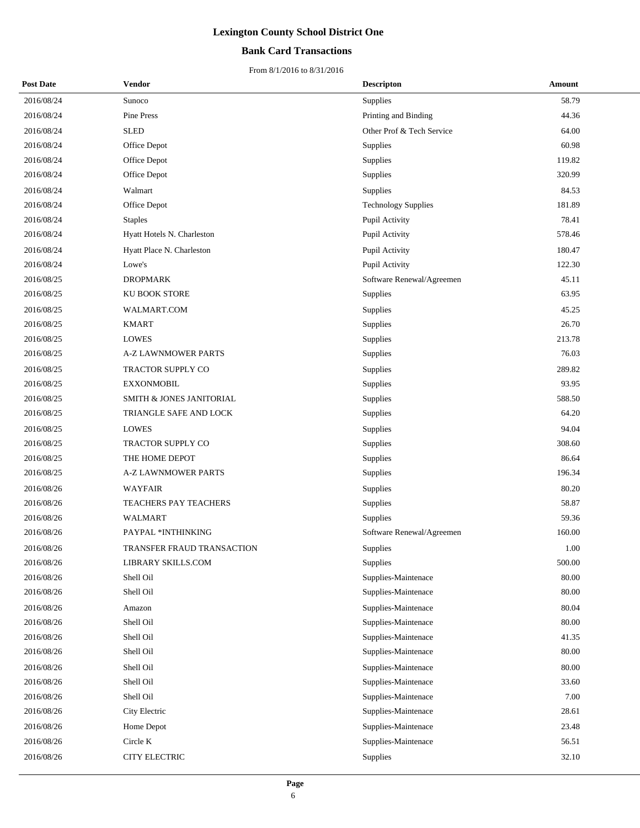## **Bank Card Transactions**

| <b>Post Date</b> | <b>Vendor</b>              | <b>Descripton</b>          | Amount |
|------------------|----------------------------|----------------------------|--------|
| 2016/08/24       | Sunoco                     | Supplies                   | 58.79  |
| 2016/08/24       | Pine Press                 | Printing and Binding       | 44.36  |
| 2016/08/24       | <b>SLED</b>                | Other Prof & Tech Service  | 64.00  |
| 2016/08/24       | Office Depot               | Supplies                   | 60.98  |
| 2016/08/24       | Office Depot               | Supplies                   | 119.82 |
| 2016/08/24       | Office Depot               | Supplies                   | 320.99 |
| 2016/08/24       | Walmart                    | Supplies                   | 84.53  |
| 2016/08/24       | Office Depot               | <b>Technology Supplies</b> | 181.89 |
| 2016/08/24       | <b>Staples</b>             | Pupil Activity             | 78.41  |
| 2016/08/24       | Hyatt Hotels N. Charleston | Pupil Activity             | 578.46 |
| 2016/08/24       | Hyatt Place N. Charleston  | Pupil Activity             | 180.47 |
| 2016/08/24       | Lowe's                     | Pupil Activity             | 122.30 |
| 2016/08/25       | <b>DROPMARK</b>            | Software Renewal/Agreemen  | 45.11  |
| 2016/08/25       | KU BOOK STORE              | Supplies                   | 63.95  |
| 2016/08/25       | WALMART.COM                | Supplies                   | 45.25  |
| 2016/08/25       | <b>KMART</b>               | Supplies                   | 26.70  |
| 2016/08/25       | <b>LOWES</b>               | Supplies                   | 213.78 |
| 2016/08/25       | <b>A-Z LAWNMOWER PARTS</b> | Supplies                   | 76.03  |
| 2016/08/25       | TRACTOR SUPPLY CO          | Supplies                   | 289.82 |
| 2016/08/25       | <b>EXXONMOBIL</b>          | Supplies                   | 93.95  |
| 2016/08/25       | SMITH & JONES JANITORIAL   | Supplies                   | 588.50 |
| 2016/08/25       | TRIANGLE SAFE AND LOCK     | Supplies                   | 64.20  |
| 2016/08/25       | <b>LOWES</b>               | Supplies                   | 94.04  |
| 2016/08/25       | TRACTOR SUPPLY CO          | Supplies                   | 308.60 |
| 2016/08/25       | THE HOME DEPOT             | Supplies                   | 86.64  |
| 2016/08/25       | <b>A-Z LAWNMOWER PARTS</b> | Supplies                   | 196.34 |
| 2016/08/26       | <b>WAYFAIR</b>             | Supplies                   | 80.20  |
| 2016/08/26       | TEACHERS PAY TEACHERS      | Supplies                   | 58.87  |
| 2016/08/26       | <b>WALMART</b>             | Supplies                   | 59.36  |
| 2016/08/26       | PAYPAL *INTHINKING         | Software Renewal/Agreemen  | 160.00 |
| 2016/08/26       | TRANSFER FRAUD TRANSACTION | Supplies                   | 1.00   |
| 2016/08/26       | LIBRARY SKILLS.COM         | Supplies                   | 500.00 |
| 2016/08/26       | Shell Oil                  | Supplies-Maintenace        | 80.00  |
| 2016/08/26       | Shell Oil                  | Supplies-Maintenace        | 80.00  |
| 2016/08/26       | Amazon                     | Supplies-Maintenace        | 80.04  |
| 2016/08/26       | Shell Oil                  | Supplies-Maintenace        | 80.00  |
| 2016/08/26       | Shell Oil                  | Supplies-Maintenace        | 41.35  |
| 2016/08/26       | Shell Oil                  | Supplies-Maintenace        | 80.00  |
| 2016/08/26       | Shell Oil                  | Supplies-Maintenace        | 80.00  |
| 2016/08/26       | Shell Oil                  | Supplies-Maintenace        | 33.60  |
| 2016/08/26       | Shell Oil                  | Supplies-Maintenace        | 7.00   |
| 2016/08/26       | City Electric              | Supplies-Maintenace        | 28.61  |
| 2016/08/26       | Home Depot                 | Supplies-Maintenace        | 23.48  |
| 2016/08/26       | Circle K                   | Supplies-Maintenace        | 56.51  |
| 2016/08/26       | CITY ELECTRIC              | Supplies                   | 32.10  |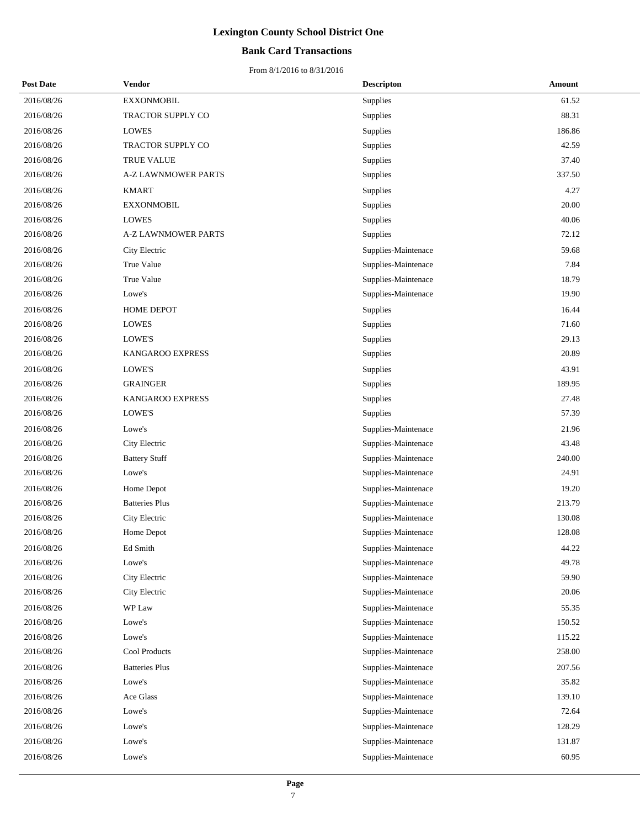## **Bank Card Transactions**

| <b>Post Date</b> | Vendor                     | <b>Descripton</b>   | <b>Amount</b> |
|------------------|----------------------------|---------------------|---------------|
| 2016/08/26       | <b>EXXONMOBIL</b>          | Supplies            | 61.52         |
| 2016/08/26       | TRACTOR SUPPLY CO          | Supplies            | 88.31         |
| 2016/08/26       | <b>LOWES</b>               | Supplies            | 186.86        |
| 2016/08/26       | TRACTOR SUPPLY CO          | Supplies            | 42.59         |
| 2016/08/26       | <b>TRUE VALUE</b>          | Supplies            | 37.40         |
| 2016/08/26       | <b>A-Z LAWNMOWER PARTS</b> | Supplies            | 337.50        |
| 2016/08/26       | <b>KMART</b>               | Supplies            | 4.27          |
| 2016/08/26       | <b>EXXONMOBIL</b>          | Supplies            | 20.00         |
| 2016/08/26       | <b>LOWES</b>               | Supplies            | 40.06         |
| 2016/08/26       | <b>A-Z LAWNMOWER PARTS</b> | Supplies            | 72.12         |
| 2016/08/26       | City Electric              | Supplies-Maintenace | 59.68         |
| 2016/08/26       | True Value                 | Supplies-Maintenace | 7.84          |
| 2016/08/26       | True Value                 | Supplies-Maintenace | 18.79         |
| 2016/08/26       | Lowe's                     | Supplies-Maintenace | 19.90         |
| 2016/08/26       | HOME DEPOT                 | Supplies            | 16.44         |
| 2016/08/26       | <b>LOWES</b>               | Supplies            | 71.60         |
| 2016/08/26       | LOWE'S                     | Supplies            | 29.13         |
| 2016/08/26       | <b>KANGAROO EXPRESS</b>    | Supplies            | 20.89         |
| 2016/08/26       | LOWE'S                     | Supplies            | 43.91         |
| 2016/08/26       | <b>GRAINGER</b>            | Supplies            | 189.95        |
| 2016/08/26       | KANGAROO EXPRESS           | Supplies            | 27.48         |
| 2016/08/26       | LOWE'S                     | Supplies            | 57.39         |
| 2016/08/26       | Lowe's                     | Supplies-Maintenace | 21.96         |
| 2016/08/26       | City Electric              | Supplies-Maintenace | 43.48         |
| 2016/08/26       | <b>Battery Stuff</b>       | Supplies-Maintenace | 240.00        |
| 2016/08/26       | Lowe's                     | Supplies-Maintenace | 24.91         |
| 2016/08/26       | Home Depot                 | Supplies-Maintenace | 19.20         |
| 2016/08/26       | <b>Batteries Plus</b>      | Supplies-Maintenace | 213.79        |
| 2016/08/26       | City Electric              | Supplies-Maintenace | 130.08        |
| 2016/08/26       | Home Depot                 | Supplies-Maintenace | 128.08        |
| 2016/08/26       | Ed Smith                   | Supplies-Maintenace | 44.22         |
| 2016/08/26       | Lowe's                     | Supplies-Maintenace | 49.78         |
| 2016/08/26       | City Electric              | Supplies-Maintenace | 59.90         |
| 2016/08/26       | City Electric              | Supplies-Maintenace | 20.06         |
| 2016/08/26       | WP Law                     | Supplies-Maintenace | 55.35         |
| 2016/08/26       | Lowe's                     | Supplies-Maintenace | 150.52        |
| 2016/08/26       | Lowe's                     | Supplies-Maintenace | 115.22        |
| 2016/08/26       | Cool Products              | Supplies-Maintenace | 258.00        |
| 2016/08/26       | <b>Batteries Plus</b>      | Supplies-Maintenace | 207.56        |
| 2016/08/26       | Lowe's                     | Supplies-Maintenace | 35.82         |
| 2016/08/26       | Ace Glass                  | Supplies-Maintenace | 139.10        |
| 2016/08/26       | Lowe's                     | Supplies-Maintenace | 72.64         |
| 2016/08/26       | Lowe's                     | Supplies-Maintenace | 128.29        |
| 2016/08/26       | Lowe's                     | Supplies-Maintenace | 131.87        |
| 2016/08/26       | Lowe's                     | Supplies-Maintenace | 60.95         |
|                  |                            |                     |               |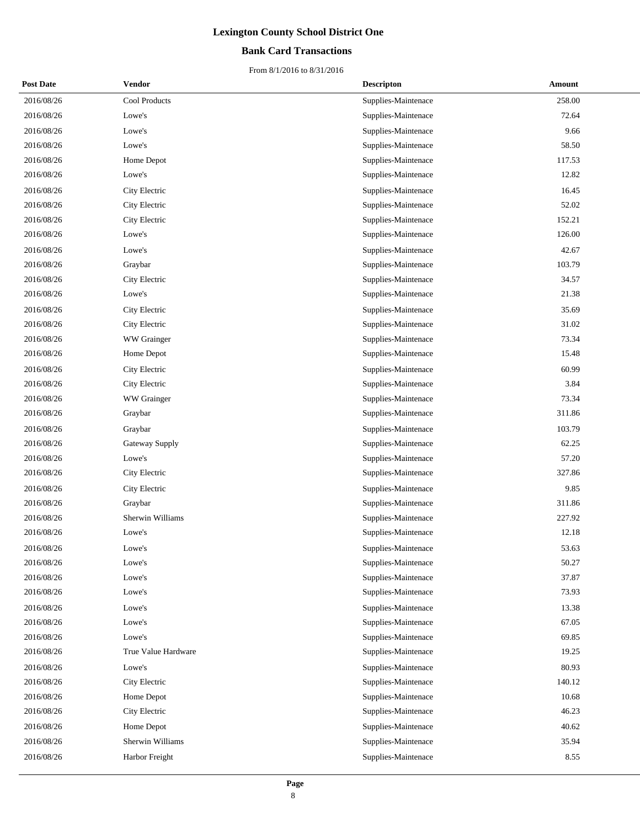## **Bank Card Transactions**

| <b>Post Date</b> | <b>Vendor</b>       | <b>Descripton</b>   | Amount |
|------------------|---------------------|---------------------|--------|
| 2016/08/26       | Cool Products       | Supplies-Maintenace | 258.00 |
| 2016/08/26       | Lowe's              | Supplies-Maintenace | 72.64  |
| 2016/08/26       | Lowe's              | Supplies-Maintenace | 9.66   |
| 2016/08/26       | Lowe's              | Supplies-Maintenace | 58.50  |
| 2016/08/26       | Home Depot          | Supplies-Maintenace | 117.53 |
| 2016/08/26       | Lowe's              | Supplies-Maintenace | 12.82  |
| 2016/08/26       | City Electric       | Supplies-Maintenace | 16.45  |
| 2016/08/26       | City Electric       | Supplies-Maintenace | 52.02  |
| 2016/08/26       | City Electric       | Supplies-Maintenace | 152.21 |
| 2016/08/26       | Lowe's              | Supplies-Maintenace | 126.00 |
| 2016/08/26       | Lowe's              | Supplies-Maintenace | 42.67  |
| 2016/08/26       | Graybar             | Supplies-Maintenace | 103.79 |
| 2016/08/26       | City Electric       | Supplies-Maintenace | 34.57  |
| 2016/08/26       | Lowe's              | Supplies-Maintenace | 21.38  |
| 2016/08/26       | City Electric       | Supplies-Maintenace | 35.69  |
| 2016/08/26       | City Electric       | Supplies-Maintenace | 31.02  |
| 2016/08/26       | WW Grainger         | Supplies-Maintenace | 73.34  |
| 2016/08/26       | Home Depot          | Supplies-Maintenace | 15.48  |
| 2016/08/26       | City Electric       | Supplies-Maintenace | 60.99  |
| 2016/08/26       | City Electric       | Supplies-Maintenace | 3.84   |
| 2016/08/26       | WW Grainger         | Supplies-Maintenace | 73.34  |
| 2016/08/26       | Graybar             | Supplies-Maintenace | 311.86 |
| 2016/08/26       | Graybar             | Supplies-Maintenace | 103.79 |
| 2016/08/26       | Gateway Supply      | Supplies-Maintenace | 62.25  |
| 2016/08/26       | Lowe's              | Supplies-Maintenace | 57.20  |
| 2016/08/26       | City Electric       | Supplies-Maintenace | 327.86 |
| 2016/08/26       | City Electric       | Supplies-Maintenace | 9.85   |
| 2016/08/26       | Graybar             | Supplies-Maintenace | 311.86 |
| 2016/08/26       | Sherwin Williams    | Supplies-Maintenace | 227.92 |
| 2016/08/26       | Lowe's              | Supplies-Maintenace | 12.18  |
| 2016/08/26       | Lowe's              | Supplies-Maintenace | 53.63  |
| 2016/08/26       | Lowe's              | Supplies-Maintenace | 50.27  |
| 2016/08/26       | Lowe's              | Supplies-Maintenace | 37.87  |
| 2016/08/26       | Lowe's              | Supplies-Maintenace | 73.93  |
| 2016/08/26       | Lowe's              | Supplies-Maintenace | 13.38  |
| 2016/08/26       | Lowe's              | Supplies-Maintenace | 67.05  |
| 2016/08/26       | Lowe's              | Supplies-Maintenace | 69.85  |
| 2016/08/26       | True Value Hardware | Supplies-Maintenace | 19.25  |
| 2016/08/26       | Lowe's              | Supplies-Maintenace | 80.93  |
| 2016/08/26       | City Electric       | Supplies-Maintenace | 140.12 |
| 2016/08/26       | Home Depot          | Supplies-Maintenace | 10.68  |
| 2016/08/26       | City Electric       | Supplies-Maintenace | 46.23  |
| 2016/08/26       | Home Depot          | Supplies-Maintenace | 40.62  |
| 2016/08/26       | Sherwin Williams    | Supplies-Maintenace | 35.94  |
| 2016/08/26       | Harbor Freight      | Supplies-Maintenace | 8.55   |
|                  |                     |                     |        |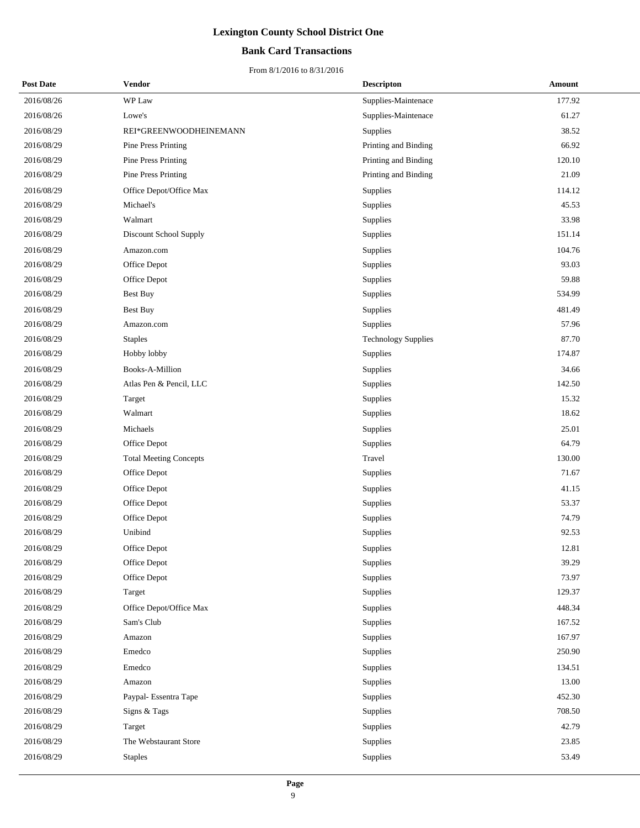## **Bank Card Transactions**

| <b>Post Date</b> | Vendor                        | <b>Descripton</b>          | Amount |
|------------------|-------------------------------|----------------------------|--------|
| 2016/08/26       | WP Law                        | Supplies-Maintenace        | 177.92 |
| 2016/08/26       | Lowe's                        | Supplies-Maintenace        | 61.27  |
| 2016/08/29       | REI*GREENWOODHEINEMANN        | Supplies                   | 38.52  |
| 2016/08/29       | <b>Pine Press Printing</b>    | Printing and Binding       | 66.92  |
| 2016/08/29       | Pine Press Printing           | Printing and Binding       | 120.10 |
| 2016/08/29       | Pine Press Printing           | Printing and Binding       | 21.09  |
| 2016/08/29       | Office Depot/Office Max       | Supplies                   | 114.12 |
| 2016/08/29       | Michael's                     | Supplies                   | 45.53  |
| 2016/08/29       | Walmart                       | Supplies                   | 33.98  |
| 2016/08/29       | Discount School Supply        | Supplies                   | 151.14 |
| 2016/08/29       | Amazon.com                    | Supplies                   | 104.76 |
| 2016/08/29       | Office Depot                  | Supplies                   | 93.03  |
| 2016/08/29       | Office Depot                  | Supplies                   | 59.88  |
| 2016/08/29       | Best Buy                      | Supplies                   | 534.99 |
| 2016/08/29       | <b>Best Buy</b>               | Supplies                   | 481.49 |
| 2016/08/29       | Amazon.com                    | Supplies                   | 57.96  |
| 2016/08/29       | <b>Staples</b>                | <b>Technology Supplies</b> | 87.70  |
| 2016/08/29       | Hobby lobby                   | Supplies                   | 174.87 |
| 2016/08/29       | Books-A-Million               | Supplies                   | 34.66  |
| 2016/08/29       | Atlas Pen & Pencil, LLC       | Supplies                   | 142.50 |
| 2016/08/29       | Target                        | Supplies                   | 15.32  |
| 2016/08/29       | Walmart                       | Supplies                   | 18.62  |
| 2016/08/29       | Michaels                      | Supplies                   | 25.01  |
| 2016/08/29       | Office Depot                  | Supplies                   | 64.79  |
| 2016/08/29       | <b>Total Meeting Concepts</b> | Travel                     | 130.00 |
| 2016/08/29       | Office Depot                  | Supplies                   | 71.67  |
| 2016/08/29       | Office Depot                  | Supplies                   | 41.15  |
| 2016/08/29       | Office Depot                  | Supplies                   | 53.37  |
| 2016/08/29       | Office Depot                  | Supplies                   | 74.79  |
| 2016/08/29       | Unibind                       | Supplies                   | 92.53  |
| 2016/08/29       | Office Depot                  | Supplies                   | 12.81  |
| 2016/08/29       | Office Depot                  | Supplies                   | 39.29  |
| 2016/08/29       | Office Depot                  | Supplies                   | 73.97  |
| 2016/08/29       | Target                        | Supplies                   | 129.37 |
| 2016/08/29       | Office Depot/Office Max       | Supplies                   | 448.34 |
| 2016/08/29       | Sam's Club                    | Supplies                   | 167.52 |
| 2016/08/29       | Amazon                        | Supplies                   | 167.97 |
| 2016/08/29       | Emedco                        | Supplies                   | 250.90 |
| 2016/08/29       | Emedco                        | Supplies                   | 134.51 |
| 2016/08/29       | Amazon                        | Supplies                   | 13.00  |
| 2016/08/29       | Paypal- Essentra Tape         | Supplies                   | 452.30 |
| 2016/08/29       | Signs & Tags                  | Supplies                   | 708.50 |
| 2016/08/29       | Target                        | Supplies                   | 42.79  |
| 2016/08/29       | The Webstaurant Store         | Supplies                   | 23.85  |
| 2016/08/29       | <b>Staples</b>                | Supplies                   | 53.49  |
|                  |                               |                            |        |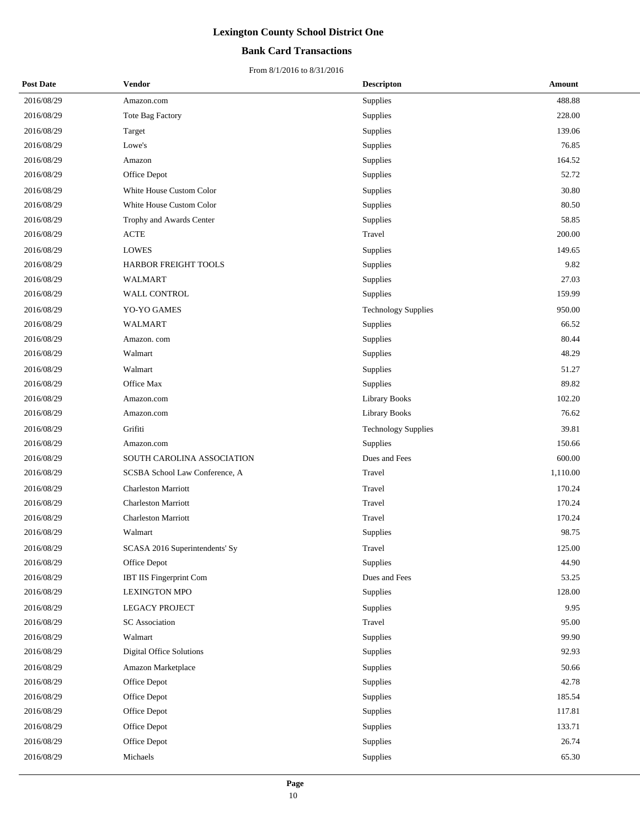## **Bank Card Transactions**

| <b>Post Date</b> | <b>Vendor</b>                  | <b>Descripton</b>          | Amount   |
|------------------|--------------------------------|----------------------------|----------|
| 2016/08/29       | Amazon.com                     | Supplies                   | 488.88   |
| 2016/08/29       | <b>Tote Bag Factory</b>        | Supplies                   | 228.00   |
| 2016/08/29       | Target                         | Supplies                   | 139.06   |
| 2016/08/29       | Lowe's                         | Supplies                   | 76.85    |
| 2016/08/29       | Amazon                         | Supplies                   | 164.52   |
| 2016/08/29       | Office Depot                   | Supplies                   | 52.72    |
| 2016/08/29       | White House Custom Color       | Supplies                   | 30.80    |
| 2016/08/29       | White House Custom Color       | Supplies                   | 80.50    |
| 2016/08/29       | Trophy and Awards Center       | Supplies                   | 58.85    |
| 2016/08/29       | <b>ACTE</b>                    | Travel                     | 200.00   |
| 2016/08/29       | <b>LOWES</b>                   | Supplies                   | 149.65   |
| 2016/08/29       | <b>HARBOR FREIGHT TOOLS</b>    | Supplies                   | 9.82     |
| 2016/08/29       | <b>WALMART</b>                 | Supplies                   | 27.03    |
| 2016/08/29       | WALL CONTROL                   | Supplies                   | 159.99   |
| 2016/08/29       | YO-YO GAMES                    | <b>Technology Supplies</b> | 950.00   |
| 2016/08/29       | WALMART                        | Supplies                   | 66.52    |
| 2016/08/29       | Amazon. com                    | Supplies                   | 80.44    |
| 2016/08/29       | Walmart                        | Supplies                   | 48.29    |
| 2016/08/29       | Walmart                        | Supplies                   | 51.27    |
| 2016/08/29       | Office Max                     | Supplies                   | 89.82    |
| 2016/08/29       | Amazon.com                     | <b>Library Books</b>       | 102.20   |
| 2016/08/29       | Amazon.com                     | <b>Library Books</b>       | 76.62    |
| 2016/08/29       | Grifiti                        | <b>Technology Supplies</b> | 39.81    |
| 2016/08/29       | Amazon.com                     | Supplies                   | 150.66   |
| 2016/08/29       | SOUTH CAROLINA ASSOCIATION     | Dues and Fees              | 600.00   |
| 2016/08/29       | SCSBA School Law Conference, A | Travel                     | 1,110.00 |
| 2016/08/29       | <b>Charleston Marriott</b>     | Travel                     | 170.24   |
| 2016/08/29       | Charleston Marriott            | Travel                     | 170.24   |
| 2016/08/29       | <b>Charleston Marriott</b>     | Travel                     | 170.24   |
| 2016/08/29       | Walmart                        | Supplies                   | 98.75    |
| 2016/08/29       | SCASA 2016 Superintendents' Sy | Travel                     | 125.00   |
| 2016/08/29       | Office Depot                   | Supplies                   | 44.90    |
| 2016/08/29       | IBT IIS Fingerprint Com        | Dues and Fees              | 53.25    |
| 2016/08/29       | <b>LEXINGTON MPO</b>           | Supplies                   | 128.00   |
| 2016/08/29       | <b>LEGACY PROJECT</b>          | Supplies                   | 9.95     |
| 2016/08/29       | <b>SC</b> Association          | Travel                     | 95.00    |
| 2016/08/29       | Walmart                        | Supplies                   | 99.90    |
| 2016/08/29       | Digital Office Solutions       | Supplies                   | 92.93    |
| 2016/08/29       | Amazon Marketplace             | Supplies                   | 50.66    |
| 2016/08/29       | Office Depot                   | Supplies                   | 42.78    |
| 2016/08/29       | Office Depot                   | Supplies                   | 185.54   |
| 2016/08/29       | Office Depot                   | Supplies                   | 117.81   |
| 2016/08/29       | Office Depot                   | Supplies                   | 133.71   |
| 2016/08/29       | Office Depot                   | Supplies                   | 26.74    |
| 2016/08/29       | Michaels                       | Supplies                   | 65.30    |
|                  |                                |                            |          |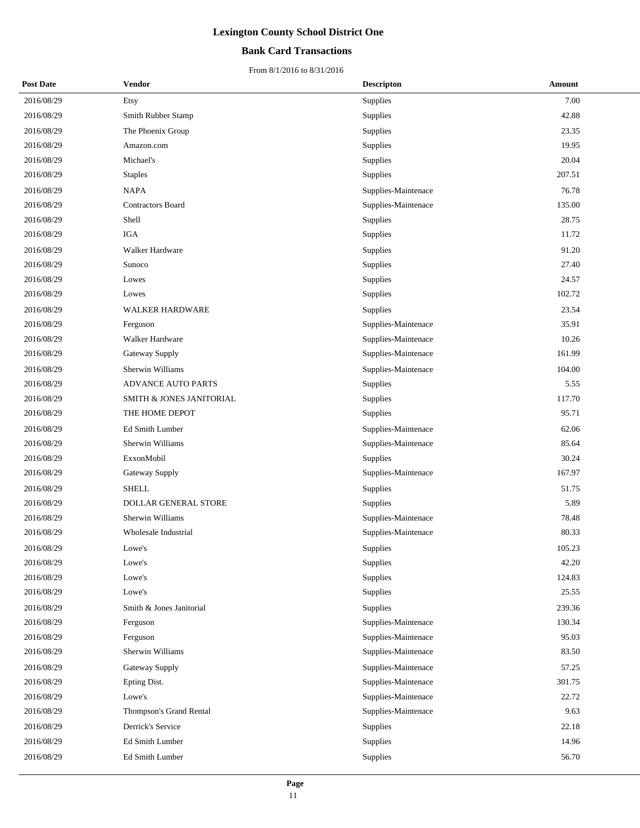## **Bank Card Transactions**

| <b>Post Date</b> | Vendor                      | <b>Descripton</b>   | Amount |
|------------------|-----------------------------|---------------------|--------|
| 2016/08/29       | Etsy                        | Supplies            | 7.00   |
| 2016/08/29       | Smith Rubber Stamp          | Supplies            | 42.88  |
| 2016/08/29       | The Phoenix Group           | Supplies            | 23.35  |
| 2016/08/29       | Amazon.com                  | Supplies            | 19.95  |
| 2016/08/29       | Michael's                   | Supplies            | 20.04  |
| 2016/08/29       | <b>Staples</b>              | Supplies            | 207.51 |
| 2016/08/29       | <b>NAPA</b>                 | Supplies-Maintenace | 76.78  |
| 2016/08/29       | <b>Contractors Board</b>    | Supplies-Maintenace | 135.00 |
| 2016/08/29       | Shell                       | Supplies            | 28.75  |
| 2016/08/29       | <b>IGA</b>                  | Supplies            | 11.72  |
| 2016/08/29       | Walker Hardware             | Supplies            | 91.20  |
| 2016/08/29       | Sunoco                      | Supplies            | 27.40  |
| 2016/08/29       | Lowes                       | Supplies            | 24.57  |
| 2016/08/29       | Lowes                       | Supplies            | 102.72 |
| 2016/08/29       | <b>WALKER HARDWARE</b>      | Supplies            | 23.54  |
| 2016/08/29       | Ferguson                    | Supplies-Maintenace | 35.91  |
| 2016/08/29       | Walker Hardware             | Supplies-Maintenace | 10.26  |
| 2016/08/29       | Gateway Supply              | Supplies-Maintenace | 161.99 |
| 2016/08/29       | Sherwin Williams            | Supplies-Maintenace | 104.00 |
| 2016/08/29       | <b>ADVANCE AUTO PARTS</b>   | Supplies            | 5.55   |
| 2016/08/29       | SMITH & JONES JANITORIAL    | Supplies            | 117.70 |
| 2016/08/29       | THE HOME DEPOT              | Supplies            | 95.71  |
| 2016/08/29       | Ed Smith Lumber             | Supplies-Maintenace | 62.06  |
| 2016/08/29       | Sherwin Williams            | Supplies-Maintenace | 85.64  |
| 2016/08/29       | ExxonMobil                  | Supplies            | 30.24  |
| 2016/08/29       | Gateway Supply              | Supplies-Maintenace | 167.97 |
| 2016/08/29       | <b>SHELL</b>                | Supplies            | 51.75  |
| 2016/08/29       | <b>DOLLAR GENERAL STORE</b> | Supplies            | 5.89   |
| 2016/08/29       | Sherwin Williams            | Supplies-Maintenace | 78.48  |
| 2016/08/29       | Wholesale Industrial        | Supplies-Maintenace | 80.33  |
| 2016/08/29       | Lowe's                      | Supplies            | 105.23 |
| 2016/08/29       | Lowe's                      | Supplies            | 42.20  |
| 2016/08/29       | Lowe's                      | Supplies            | 124.83 |
| 2016/08/29       | Lowe's                      | Supplies            | 25.55  |
| 2016/08/29       | Smith & Jones Janitorial    | Supplies            | 239.36 |
| 2016/08/29       | Ferguson                    | Supplies-Maintenace | 130.34 |
| 2016/08/29       | Ferguson                    | Supplies-Maintenace | 95.03  |
| 2016/08/29       | Sherwin Williams            | Supplies-Maintenace | 83.50  |
| 2016/08/29       | Gateway Supply              | Supplies-Maintenace | 57.25  |
| 2016/08/29       | Epting Dist.                | Supplies-Maintenace | 301.75 |
| 2016/08/29       | Lowe's                      | Supplies-Maintenace | 22.72  |
| 2016/08/29       | Thompson's Grand Rental     | Supplies-Maintenace | 9.63   |
| 2016/08/29       | Derrick's Service           | Supplies            | 22.18  |
| 2016/08/29       | Ed Smith Lumber             | Supplies            | 14.96  |
| 2016/08/29       | Ed Smith Lumber             | Supplies            | 56.70  |
|                  |                             |                     |        |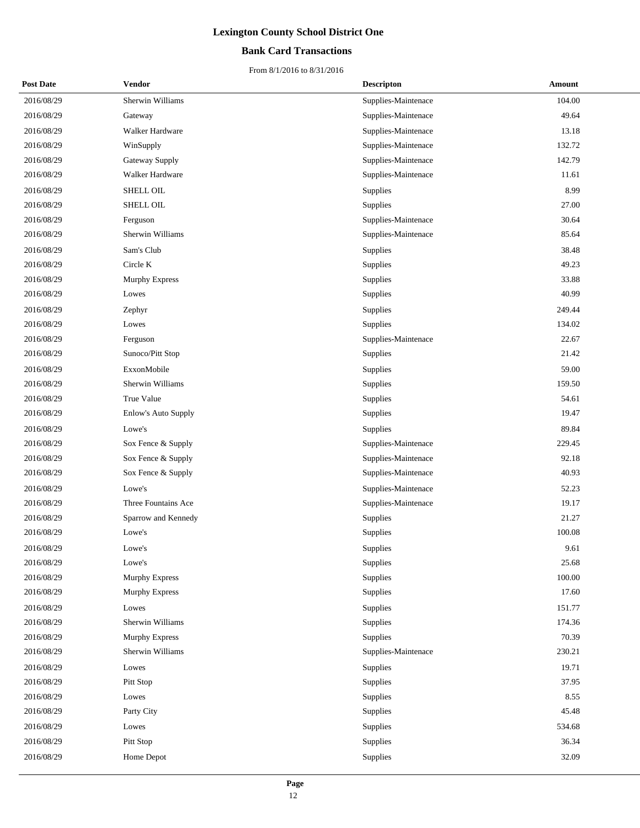### **Bank Card Transactions**

| <b>Post Date</b> | <b>Vendor</b>         | <b>Descripton</b>   | Amount |
|------------------|-----------------------|---------------------|--------|
| 2016/08/29       | Sherwin Williams      | Supplies-Maintenace | 104.00 |
| 2016/08/29       | Gateway               | Supplies-Maintenace | 49.64  |
| 2016/08/29       | Walker Hardware       | Supplies-Maintenace | 13.18  |
| 2016/08/29       | WinSupply             | Supplies-Maintenace | 132.72 |
| 2016/08/29       | Gateway Supply        | Supplies-Maintenace | 142.79 |
| 2016/08/29       | Walker Hardware       | Supplies-Maintenace | 11.61  |
| 2016/08/29       | SHELL OIL             | Supplies            | 8.99   |
| 2016/08/29       | SHELL OIL             | Supplies            | 27.00  |
| 2016/08/29       | Ferguson              | Supplies-Maintenace | 30.64  |
| 2016/08/29       | Sherwin Williams      | Supplies-Maintenace | 85.64  |
| 2016/08/29       | Sam's Club            | Supplies            | 38.48  |
| 2016/08/29       | Circle K              | Supplies            | 49.23  |
| 2016/08/29       | <b>Murphy Express</b> | Supplies            | 33.88  |
| 2016/08/29       | Lowes                 | Supplies            | 40.99  |
| 2016/08/29       | Zephyr                | Supplies            | 249.44 |
| 2016/08/29       | Lowes                 | Supplies            | 134.02 |
| 2016/08/29       | Ferguson              | Supplies-Maintenace | 22.67  |
| 2016/08/29       | Sunoco/Pitt Stop      | Supplies            | 21.42  |
| 2016/08/29       | ExxonMobile           | Supplies            | 59.00  |
| 2016/08/29       | Sherwin Williams      | Supplies            | 159.50 |
| 2016/08/29       | True Value            | Supplies            | 54.61  |
| 2016/08/29       | Enlow's Auto Supply   | Supplies            | 19.47  |
| 2016/08/29       | Lowe's                | Supplies            | 89.84  |
| 2016/08/29       | Sox Fence & Supply    | Supplies-Maintenace | 229.45 |
| 2016/08/29       | Sox Fence & Supply    | Supplies-Maintenace | 92.18  |
| 2016/08/29       | Sox Fence & Supply    | Supplies-Maintenace | 40.93  |
| 2016/08/29       | Lowe's                | Supplies-Maintenace | 52.23  |
| 2016/08/29       | Three Fountains Ace   | Supplies-Maintenace | 19.17  |
| 2016/08/29       | Sparrow and Kennedy   | Supplies            | 21.27  |
| 2016/08/29       | Lowe's                | Supplies            | 100.08 |
| 2016/08/29       | Lowe's                | Supplies            | 9.61   |
| 2016/08/29       | Lowe's                | Supplies            | 25.68  |
| 2016/08/29       | Murphy Express        | Supplies            | 100.00 |
| 2016/08/29       | Murphy Express        | Supplies            | 17.60  |
| 2016/08/29       | Lowes                 | Supplies            | 151.77 |
| 2016/08/29       | Sherwin Williams      | Supplies            | 174.36 |
| 2016/08/29       | Murphy Express        | <b>Supplies</b>     | 70.39  |
| 2016/08/29       | Sherwin Williams      | Supplies-Maintenace | 230.21 |
| 2016/08/29       | Lowes                 | Supplies            | 19.71  |
| 2016/08/29       | Pitt Stop             | Supplies            | 37.95  |
| 2016/08/29       | Lowes                 | Supplies            | 8.55   |
| 2016/08/29       | Party City            | Supplies            | 45.48  |
| 2016/08/29       | Lowes                 | Supplies            | 534.68 |
| 2016/08/29       | Pitt Stop             | Supplies            | 36.34  |
| 2016/08/29       | Home Depot            | Supplies            | 32.09  |
|                  |                       |                     |        |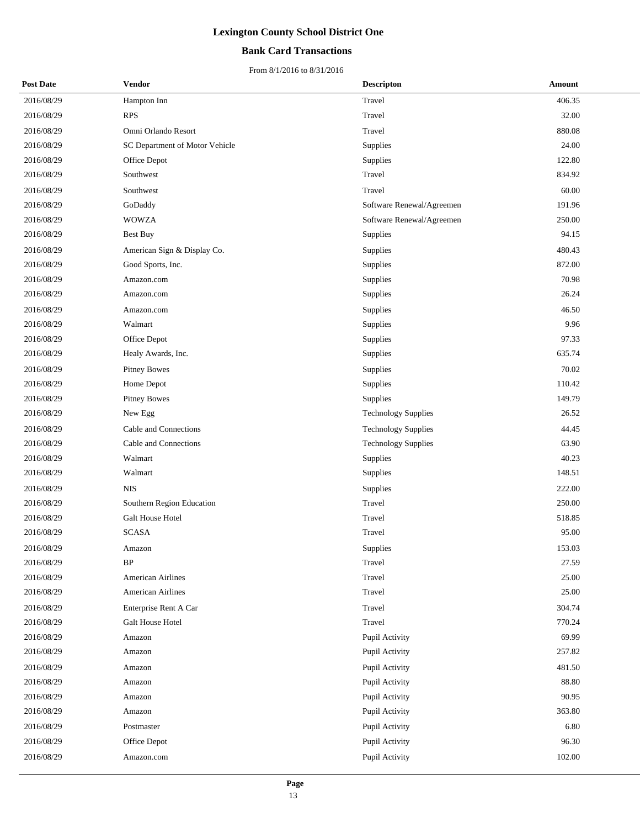## **Bank Card Transactions**

| <b>Post Date</b> | Vendor                         | <b>Descripton</b>          | Amount |
|------------------|--------------------------------|----------------------------|--------|
| 2016/08/29       | Hampton Inn                    | Travel                     | 406.35 |
| 2016/08/29       | <b>RPS</b>                     | Travel                     | 32.00  |
| 2016/08/29       | Omni Orlando Resort            | Travel                     | 880.08 |
| 2016/08/29       | SC Department of Motor Vehicle | Supplies                   | 24.00  |
| 2016/08/29       | Office Depot                   | Supplies                   | 122.80 |
| 2016/08/29       | Southwest                      | Travel                     | 834.92 |
| 2016/08/29       | Southwest                      | Travel                     | 60.00  |
| 2016/08/29       | GoDaddy                        | Software Renewal/Agreemen  | 191.96 |
| 2016/08/29       | <b>WOWZA</b>                   | Software Renewal/Agreemen  | 250.00 |
| 2016/08/29       | <b>Best Buy</b>                | Supplies                   | 94.15  |
| 2016/08/29       | American Sign & Display Co.    | Supplies                   | 480.43 |
| 2016/08/29       | Good Sports, Inc.              | Supplies                   | 872.00 |
| 2016/08/29       | Amazon.com                     | Supplies                   | 70.98  |
| 2016/08/29       | Amazon.com                     | Supplies                   | 26.24  |
| 2016/08/29       | Amazon.com                     | Supplies                   | 46.50  |
| 2016/08/29       | Walmart                        | Supplies                   | 9.96   |
| 2016/08/29       | Office Depot                   | Supplies                   | 97.33  |
| 2016/08/29       | Healy Awards, Inc.             | Supplies                   | 635.74 |
| 2016/08/29       | <b>Pitney Bowes</b>            | Supplies                   | 70.02  |
| 2016/08/29       | Home Depot                     | Supplies                   | 110.42 |
| 2016/08/29       | <b>Pitney Bowes</b>            | Supplies                   | 149.79 |
| 2016/08/29       | New Egg                        | <b>Technology Supplies</b> | 26.52  |
| 2016/08/29       | Cable and Connections          | <b>Technology Supplies</b> | 44.45  |
| 2016/08/29       | Cable and Connections          | <b>Technology Supplies</b> | 63.90  |
| 2016/08/29       | Walmart                        | Supplies                   | 40.23  |
| 2016/08/29       | Walmart                        | Supplies                   | 148.51 |
| 2016/08/29       | <b>NIS</b>                     | Supplies                   | 222.00 |
| 2016/08/29       | Southern Region Education      | Travel                     | 250.00 |
| 2016/08/29       | Galt House Hotel               | Travel                     | 518.85 |
| 2016/08/29       | <b>SCASA</b>                   | Travel                     | 95.00  |
| 2016/08/29       | Amazon                         | Supplies                   | 153.03 |
| 2016/08/29       | BP                             | Travel                     | 27.59  |
| 2016/08/29       | American Airlines              | Travel                     | 25.00  |
| 2016/08/29       | American Airlines              | Travel                     | 25.00  |
| 2016/08/29       | Enterprise Rent A Car          | Travel                     | 304.74 |
| 2016/08/29       | Galt House Hotel               | Travel                     | 770.24 |
| 2016/08/29       | Amazon                         | Pupil Activity             | 69.99  |
| 2016/08/29       | Amazon                         | Pupil Activity             | 257.82 |
| 2016/08/29       | Amazon                         | Pupil Activity             | 481.50 |
| 2016/08/29       | Amazon                         | Pupil Activity             | 88.80  |
| 2016/08/29       | Amazon                         | Pupil Activity             | 90.95  |
| 2016/08/29       | Amazon                         | Pupil Activity             | 363.80 |
| 2016/08/29       | Postmaster                     | Pupil Activity             | 6.80   |
| 2016/08/29       | Office Depot                   | Pupil Activity             | 96.30  |
| 2016/08/29       | Amazon.com                     | Pupil Activity             | 102.00 |
|                  |                                |                            |        |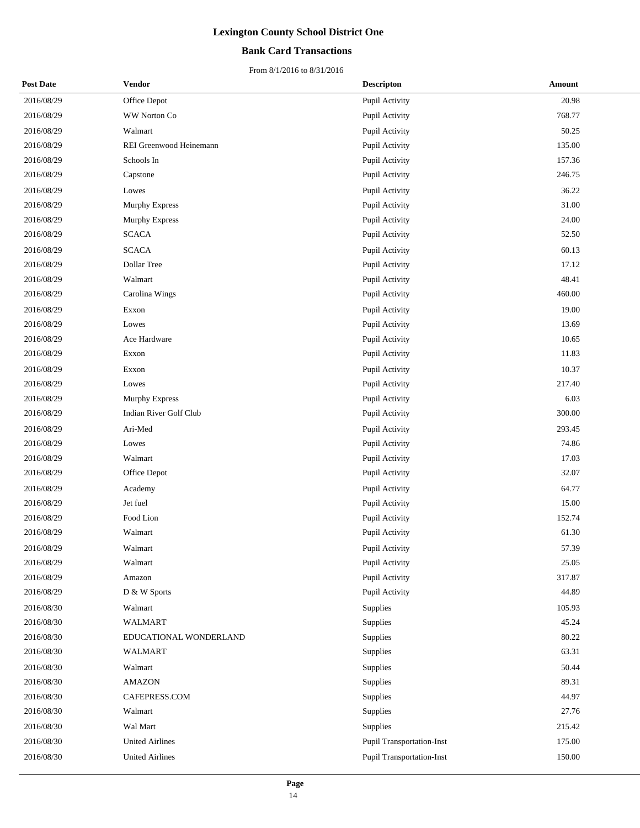## **Bank Card Transactions**

| <b>Post Date</b> | <b>Vendor</b>           | <b>Descripton</b>                | Amount |
|------------------|-------------------------|----------------------------------|--------|
| 2016/08/29       | Office Depot            | Pupil Activity                   | 20.98  |
| 2016/08/29       | WW Norton Co            | Pupil Activity                   | 768.77 |
| 2016/08/29       | Walmart                 | Pupil Activity                   | 50.25  |
| 2016/08/29       | REI Greenwood Heinemann | Pupil Activity                   | 135.00 |
| 2016/08/29       | Schools In              | Pupil Activity                   | 157.36 |
| 2016/08/29       | Capstone                | Pupil Activity                   | 246.75 |
| 2016/08/29       | Lowes                   | Pupil Activity                   | 36.22  |
| 2016/08/29       | Murphy Express          | Pupil Activity                   | 31.00  |
| 2016/08/29       | <b>Murphy Express</b>   | Pupil Activity                   | 24.00  |
| 2016/08/29       | <b>SCACA</b>            | Pupil Activity                   | 52.50  |
| 2016/08/29       | <b>SCACA</b>            | Pupil Activity                   | 60.13  |
| 2016/08/29       | Dollar Tree             | Pupil Activity                   | 17.12  |
| 2016/08/29       | Walmart                 | Pupil Activity                   | 48.41  |
| 2016/08/29       | Carolina Wings          | Pupil Activity                   | 460.00 |
| 2016/08/29       | Exxon                   | Pupil Activity                   | 19.00  |
| 2016/08/29       | Lowes                   | Pupil Activity                   | 13.69  |
| 2016/08/29       | Ace Hardware            | Pupil Activity                   | 10.65  |
| 2016/08/29       | Exxon                   | Pupil Activity                   | 11.83  |
| 2016/08/29       | Exxon                   | Pupil Activity                   | 10.37  |
| 2016/08/29       | Lowes                   | Pupil Activity                   | 217.40 |
| 2016/08/29       | <b>Murphy Express</b>   | Pupil Activity                   | 6.03   |
| 2016/08/29       | Indian River Golf Club  | Pupil Activity                   | 300.00 |
| 2016/08/29       | Ari-Med                 | Pupil Activity                   | 293.45 |
| 2016/08/29       | Lowes                   | Pupil Activity                   | 74.86  |
| 2016/08/29       | Walmart                 | Pupil Activity                   | 17.03  |
| 2016/08/29       | Office Depot            | Pupil Activity                   | 32.07  |
| 2016/08/29       | Academy                 | Pupil Activity                   | 64.77  |
| 2016/08/29       | Jet fuel                | Pupil Activity                   | 15.00  |
| 2016/08/29       | Food Lion               | Pupil Activity                   | 152.74 |
| 2016/08/29       | Walmart                 | Pupil Activity                   | 61.30  |
| 2016/08/29       | Walmart                 | Pupil Activity                   | 57.39  |
| 2016/08/29       | Walmart                 | Pupil Activity                   | 25.05  |
| 2016/08/29       | Amazon                  | Pupil Activity                   | 317.87 |
| 2016/08/29       | D & W Sports            | Pupil Activity                   | 44.89  |
| 2016/08/30       | Walmart                 | Supplies                         | 105.93 |
| 2016/08/30       | <b>WALMART</b>          | Supplies                         | 45.24  |
| 2016/08/30       | EDUCATIONAL WONDERLAND  | Supplies                         | 80.22  |
| 2016/08/30       | WALMART                 | Supplies                         | 63.31  |
| 2016/08/30       | Walmart                 | Supplies                         | 50.44  |
| 2016/08/30       | <b>AMAZON</b>           | Supplies                         | 89.31  |
| 2016/08/30       | CAFEPRESS.COM           | Supplies                         | 44.97  |
| 2016/08/30       | Walmart                 | Supplies                         | 27.76  |
| 2016/08/30       | Wal Mart                | Supplies                         | 215.42 |
| 2016/08/30       | <b>United Airlines</b>  | Pupil Transportation-Inst        | 175.00 |
| 2016/08/30       | <b>United Airlines</b>  | <b>Pupil Transportation-Inst</b> | 150.00 |
|                  |                         |                                  |        |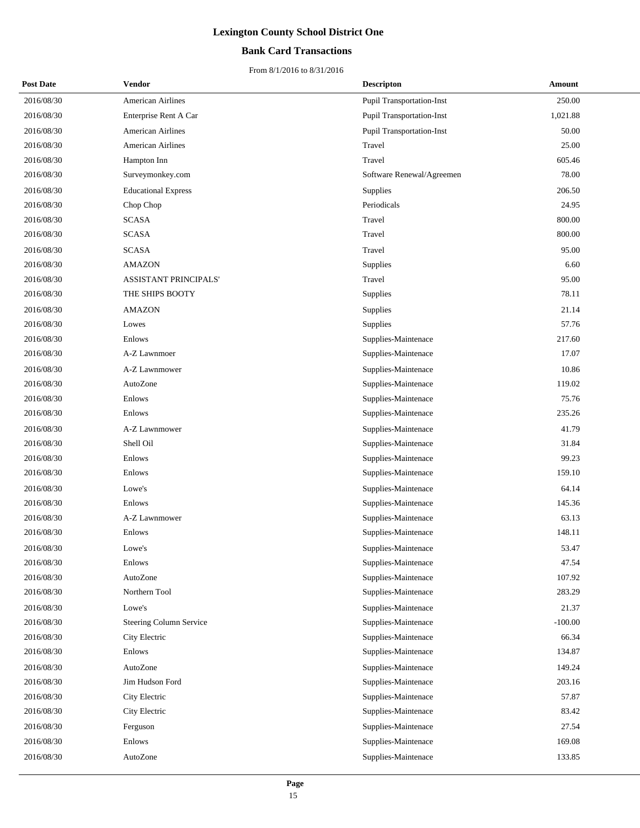## **Bank Card Transactions**

| <b>Post Date</b> | Vendor                         | <b>Descripton</b>                | Amount    |
|------------------|--------------------------------|----------------------------------|-----------|
| 2016/08/30       | American Airlines              | Pupil Transportation-Inst        | 250.00    |
| 2016/08/30       | Enterprise Rent A Car          | Pupil Transportation-Inst        | 1,021.88  |
| 2016/08/30       | <b>American Airlines</b>       | <b>Pupil Transportation-Inst</b> | 50.00     |
| 2016/08/30       | <b>American Airlines</b>       | Travel                           | 25.00     |
| 2016/08/30       | Hampton Inn                    | Travel                           | 605.46    |
| 2016/08/30       | Surveymonkey.com               | Software Renewal/Agreemen        | 78.00     |
| 2016/08/30       | <b>Educational Express</b>     | Supplies                         | 206.50    |
| 2016/08/30       | Chop Chop                      | Periodicals                      | 24.95     |
| 2016/08/30       | <b>SCASA</b>                   | Travel                           | 800.00    |
| 2016/08/30       | <b>SCASA</b>                   | Travel                           | 800.00    |
| 2016/08/30       | <b>SCASA</b>                   | Travel                           | 95.00     |
| 2016/08/30       | <b>AMAZON</b>                  | Supplies                         | 6.60      |
| 2016/08/30       | ASSISTANT PRINCIPALS'          | Travel                           | 95.00     |
| 2016/08/30       | THE SHIPS BOOTY                | Supplies                         | 78.11     |
| 2016/08/30       | <b>AMAZON</b>                  | Supplies                         | 21.14     |
| 2016/08/30       | Lowes                          | Supplies                         | 57.76     |
| 2016/08/30       | Enlows                         | Supplies-Maintenace              | 217.60    |
| 2016/08/30       | A-Z Lawnmoer                   | Supplies-Maintenace              | 17.07     |
| 2016/08/30       | A-Z Lawnmower                  | Supplies-Maintenace              | 10.86     |
| 2016/08/30       | AutoZone                       | Supplies-Maintenace              | 119.02    |
| 2016/08/30       | Enlows                         | Supplies-Maintenace              | 75.76     |
| 2016/08/30       | Enlows                         | Supplies-Maintenace              | 235.26    |
| 2016/08/30       | A-Z Lawnmower                  | Supplies-Maintenace              | 41.79     |
| 2016/08/30       | Shell Oil                      | Supplies-Maintenace              | 31.84     |
| 2016/08/30       | Enlows                         | Supplies-Maintenace              | 99.23     |
| 2016/08/30       | Enlows                         | Supplies-Maintenace              | 159.10    |
| 2016/08/30       | Lowe's                         | Supplies-Maintenace              | 64.14     |
| 2016/08/30       | Enlows                         | Supplies-Maintenace              | 145.36    |
| 2016/08/30       | A-Z Lawnmower                  | Supplies-Maintenace              | 63.13     |
| 2016/08/30       | Enlows                         | Supplies-Maintenace              | 148.11    |
| 2016/08/30       | Lowe's                         | Supplies-Maintenace              | 53.47     |
| 2016/08/30       | Enlows                         | Supplies-Maintenace              | 47.54     |
| 2016/08/30       | AutoZone                       | Supplies-Maintenace              | 107.92    |
| 2016/08/30       | Northern Tool                  | Supplies-Maintenace              | 283.29    |
| 2016/08/30       | Lowe's                         | Supplies-Maintenace              | 21.37     |
| 2016/08/30       | <b>Steering Column Service</b> | Supplies-Maintenace              | $-100.00$ |
| 2016/08/30       | City Electric                  | Supplies-Maintenace              | 66.34     |
| 2016/08/30       | Enlows                         | Supplies-Maintenace              | 134.87    |
| 2016/08/30       | AutoZone                       | Supplies-Maintenace              | 149.24    |
| 2016/08/30       | Jim Hudson Ford                | Supplies-Maintenace              | 203.16    |
| 2016/08/30       | City Electric                  | Supplies-Maintenace              | 57.87     |
| 2016/08/30       | City Electric                  | Supplies-Maintenace              | 83.42     |
| 2016/08/30       | Ferguson                       | Supplies-Maintenace              | 27.54     |
| 2016/08/30       | Enlows                         | Supplies-Maintenace              | 169.08    |
| 2016/08/30       | AutoZone                       | Supplies-Maintenace              | 133.85    |
|                  |                                |                                  |           |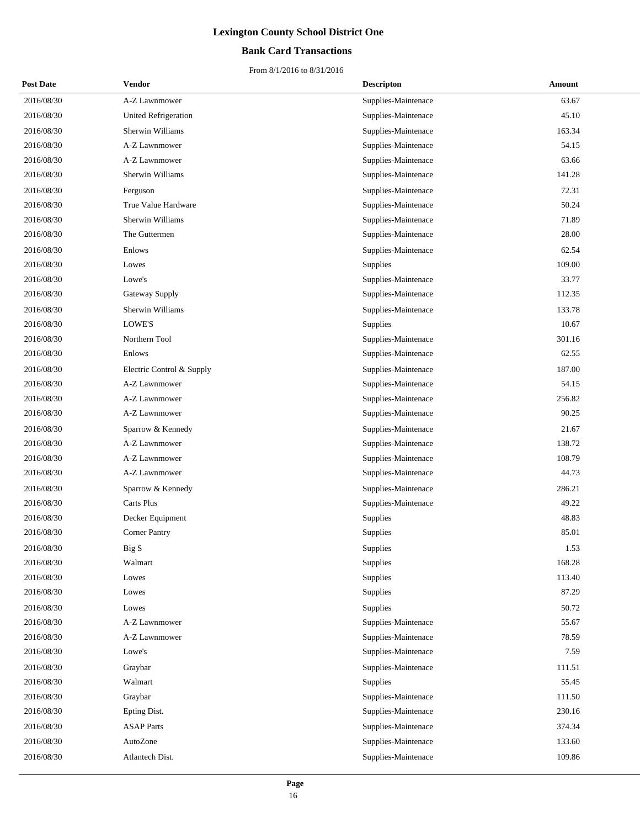## **Bank Card Transactions**

| <b>Post Date</b> | Vendor                      | <b>Descripton</b>   | Amount |
|------------------|-----------------------------|---------------------|--------|
| 2016/08/30       | A-Z Lawnmower               | Supplies-Maintenace | 63.67  |
| 2016/08/30       | <b>United Refrigeration</b> | Supplies-Maintenace | 45.10  |
| 2016/08/30       | Sherwin Williams            | Supplies-Maintenace | 163.34 |
| 2016/08/30       | A-Z Lawnmower               | Supplies-Maintenace | 54.15  |
| 2016/08/30       | A-Z Lawnmower               | Supplies-Maintenace | 63.66  |
| 2016/08/30       | Sherwin Williams            | Supplies-Maintenace | 141.28 |
| 2016/08/30       | Ferguson                    | Supplies-Maintenace | 72.31  |
| 2016/08/30       | True Value Hardware         | Supplies-Maintenace | 50.24  |
| 2016/08/30       | Sherwin Williams            | Supplies-Maintenace | 71.89  |
| 2016/08/30       | The Guttermen               | Supplies-Maintenace | 28.00  |
| 2016/08/30       | Enlows                      | Supplies-Maintenace | 62.54  |
| 2016/08/30       | Lowes                       | Supplies            | 109.00 |
| 2016/08/30       | Lowe's                      | Supplies-Maintenace | 33.77  |
| 2016/08/30       | Gateway Supply              | Supplies-Maintenace | 112.35 |
| 2016/08/30       | Sherwin Williams            | Supplies-Maintenace | 133.78 |
| 2016/08/30       | LOWE'S                      | Supplies            | 10.67  |
| 2016/08/30       | Northern Tool               | Supplies-Maintenace | 301.16 |
| 2016/08/30       | Enlows                      | Supplies-Maintenace | 62.55  |
| 2016/08/30       | Electric Control & Supply   | Supplies-Maintenace | 187.00 |
| 2016/08/30       | A-Z Lawnmower               | Supplies-Maintenace | 54.15  |
| 2016/08/30       | A-Z Lawnmower               | Supplies-Maintenace | 256.82 |
| 2016/08/30       | A-Z Lawnmower               | Supplies-Maintenace | 90.25  |
| 2016/08/30       | Sparrow & Kennedy           | Supplies-Maintenace | 21.67  |
| 2016/08/30       | A-Z Lawnmower               | Supplies-Maintenace | 138.72 |
| 2016/08/30       | A-Z Lawnmower               | Supplies-Maintenace | 108.79 |
| 2016/08/30       | A-Z Lawnmower               | Supplies-Maintenace | 44.73  |
| 2016/08/30       | Sparrow & Kennedy           | Supplies-Maintenace | 286.21 |
| 2016/08/30       | Carts Plus                  | Supplies-Maintenace | 49.22  |
| 2016/08/30       | Decker Equipment            | Supplies            | 48.83  |
| 2016/08/30       | <b>Corner Pantry</b>        | Supplies            | 85.01  |
| 2016/08/30       | Big S                       | Supplies            | 1.53   |
| 2016/08/30       | Walmart                     | Supplies            | 168.28 |
| 2016/08/30       | Lowes                       | Supplies            | 113.40 |
| 2016/08/30       | Lowes                       | Supplies            | 87.29  |
| 2016/08/30       | Lowes                       | Supplies            | 50.72  |
| 2016/08/30       | A-Z Lawnmower               | Supplies-Maintenace | 55.67  |
| 2016/08/30       | A-Z Lawnmower               | Supplies-Maintenace | 78.59  |
| 2016/08/30       | Lowe's                      | Supplies-Maintenace | 7.59   |
| 2016/08/30       | Graybar                     | Supplies-Maintenace | 111.51 |
| 2016/08/30       | Walmart                     | Supplies            | 55.45  |
| 2016/08/30       | Graybar                     | Supplies-Maintenace | 111.50 |
| 2016/08/30       | Epting Dist.                | Supplies-Maintenace | 230.16 |
| 2016/08/30       | <b>ASAP</b> Parts           | Supplies-Maintenace | 374.34 |
| 2016/08/30       | AutoZone                    | Supplies-Maintenace | 133.60 |
| 2016/08/30       | Atlantech Dist.             | Supplies-Maintenace | 109.86 |
|                  |                             |                     |        |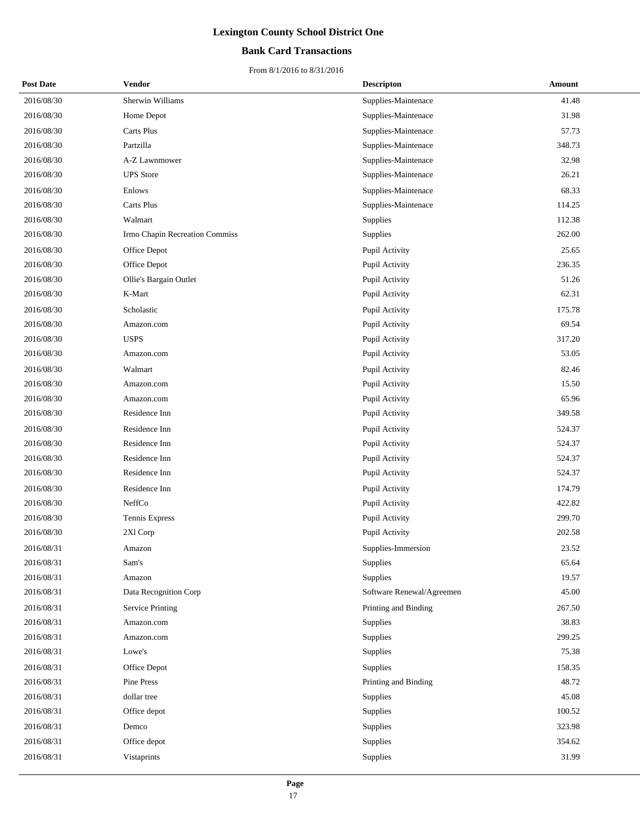## **Bank Card Transactions**

| <b>Post Date</b> | Vendor                         | <b>Descripton</b>         | Amount |
|------------------|--------------------------------|---------------------------|--------|
| 2016/08/30       | Sherwin Williams               | Supplies-Maintenace       | 41.48  |
| 2016/08/30       | Home Depot                     | Supplies-Maintenace       | 31.98  |
| 2016/08/30       | Carts Plus                     | Supplies-Maintenace       | 57.73  |
| 2016/08/30       | Partzilla                      | Supplies-Maintenace       | 348.73 |
| 2016/08/30       | A-Z Lawnmower                  | Supplies-Maintenace       | 32.98  |
| 2016/08/30       | <b>UPS</b> Store               | Supplies-Maintenace       | 26.21  |
| 2016/08/30       | Enlows                         | Supplies-Maintenace       | 68.33  |
| 2016/08/30       | Carts Plus                     | Supplies-Maintenace       | 114.25 |
| 2016/08/30       | Walmart                        | Supplies                  | 112.38 |
| 2016/08/30       | Irmo Chapin Recreation Commiss | Supplies                  | 262.00 |
| 2016/08/30       | Office Depot                   | Pupil Activity            | 25.65  |
| 2016/08/30       | Office Depot                   | Pupil Activity            | 236.35 |
| 2016/08/30       | Ollie's Bargain Outlet         | Pupil Activity            | 51.26  |
| 2016/08/30       | K-Mart                         | Pupil Activity            | 62.31  |
| 2016/08/30       | Scholastic                     | Pupil Activity            | 175.78 |
| 2016/08/30       | Amazon.com                     | Pupil Activity            | 69.54  |
| 2016/08/30       | <b>USPS</b>                    | Pupil Activity            | 317.20 |
| 2016/08/30       | Amazon.com                     | Pupil Activity            | 53.05  |
| 2016/08/30       | Walmart                        | Pupil Activity            | 82.46  |
| 2016/08/30       | Amazon.com                     | Pupil Activity            | 15.50  |
| 2016/08/30       | Amazon.com                     | Pupil Activity            | 65.96  |
| 2016/08/30       | Residence Inn                  | Pupil Activity            | 349.58 |
| 2016/08/30       | Residence Inn                  | Pupil Activity            | 524.37 |
| 2016/08/30       | Residence Inn                  | Pupil Activity            | 524.37 |
| 2016/08/30       | Residence Inn                  | Pupil Activity            | 524.37 |
| 2016/08/30       | Residence Inn                  | Pupil Activity            | 524.37 |
| 2016/08/30       | Residence Inn                  | Pupil Activity            | 174.79 |
| 2016/08/30       | NeffCo                         | Pupil Activity            | 422.82 |
| 2016/08/30       | Tennis Express                 | Pupil Activity            | 299.70 |
| 2016/08/30       | 2Xl Corp                       | Pupil Activity            | 202.58 |
| 2016/08/31       | Amazon                         | Supplies-Immersion        | 23.52  |
| 2016/08/31       | Sam's                          | Supplies                  | 65.64  |
| 2016/08/31       | Amazon                         | Supplies                  | 19.57  |
| 2016/08/31       | Data Recognition Corp          | Software Renewal/Agreemen | 45.00  |
| 2016/08/31       | <b>Service Printing</b>        | Printing and Binding      | 267.50 |
| 2016/08/31       | Amazon.com                     | Supplies                  | 38.83  |
| 2016/08/31       | Amazon.com                     | Supplies                  | 299.25 |
| 2016/08/31       | Lowe's                         | Supplies                  | 75.38  |
| 2016/08/31       | Office Depot                   | Supplies                  | 158.35 |
| 2016/08/31       | Pine Press                     | Printing and Binding      | 48.72  |
| 2016/08/31       | dollar tree                    | Supplies                  | 45.08  |
| 2016/08/31       | Office depot                   | Supplies                  | 100.52 |
| 2016/08/31       | Demco                          | Supplies                  | 323.98 |
| 2016/08/31       | Office depot                   | Supplies                  | 354.62 |
| 2016/08/31       | Vistaprints                    | Supplies                  | 31.99  |
|                  |                                |                           |        |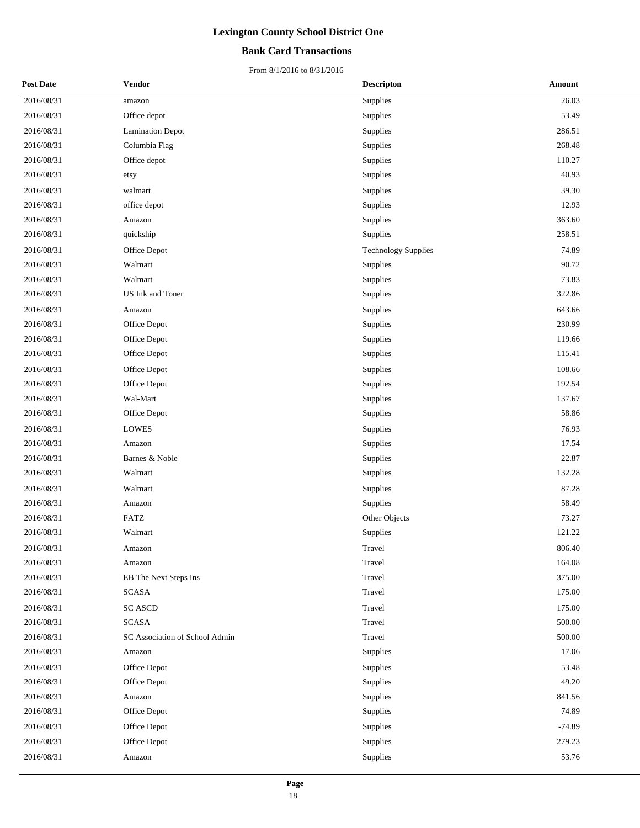## **Bank Card Transactions**

| <b>Post Date</b> | Vendor                         | <b>Descripton</b>          | <b>Amount</b> |
|------------------|--------------------------------|----------------------------|---------------|
| 2016/08/31       | amazon                         | Supplies                   | 26.03         |
| 2016/08/31       | Office depot                   | Supplies                   | 53.49         |
| 2016/08/31       | <b>Lamination Depot</b>        | Supplies                   | 286.51        |
| 2016/08/31       | Columbia Flag                  | Supplies                   | 268.48        |
| 2016/08/31       | Office depot                   | Supplies                   | 110.27        |
| 2016/08/31       | etsy                           | Supplies                   | 40.93         |
| 2016/08/31       | walmart                        | Supplies                   | 39.30         |
| 2016/08/31       | office depot                   | Supplies                   | 12.93         |
| 2016/08/31       | Amazon                         | Supplies                   | 363.60        |
| 2016/08/31       | quickship                      | Supplies                   | 258.51        |
| 2016/08/31       | Office Depot                   | <b>Technology Supplies</b> | 74.89         |
| 2016/08/31       | Walmart                        | Supplies                   | 90.72         |
| 2016/08/31       | Walmart                        | Supplies                   | 73.83         |
| 2016/08/31       | US Ink and Toner               | Supplies                   | 322.86        |
| 2016/08/31       | Amazon                         | Supplies                   | 643.66        |
| 2016/08/31       | Office Depot                   | Supplies                   | 230.99        |
| 2016/08/31       | Office Depot                   | Supplies                   | 119.66        |
| 2016/08/31       | Office Depot                   | Supplies                   | 115.41        |
| 2016/08/31       | Office Depot                   | Supplies                   | 108.66        |
| 2016/08/31       | Office Depot                   | Supplies                   | 192.54        |
| 2016/08/31       | Wal-Mart                       | Supplies                   | 137.67        |
| 2016/08/31       | Office Depot                   | Supplies                   | 58.86         |
| 2016/08/31       | <b>LOWES</b>                   | Supplies                   | 76.93         |
| 2016/08/31       | Amazon                         | Supplies                   | 17.54         |
| 2016/08/31       | Barnes & Noble                 | Supplies                   | 22.87         |
| 2016/08/31       | Walmart                        | Supplies                   | 132.28        |
| 2016/08/31       | Walmart                        | Supplies                   | 87.28         |
| 2016/08/31       | Amazon                         | Supplies                   | 58.49         |
| 2016/08/31       | <b>FATZ</b>                    | Other Objects              | 73.27         |
| 2016/08/31       | Walmart                        | Supplies                   | 121.22        |
| 2016/08/31       | Amazon                         | Travel                     | 806.40        |
| 2016/08/31       | Amazon                         | Travel                     | 164.08        |
| 2016/08/31       | EB The Next Steps Ins          | Travel                     | 375.00        |
| 2016/08/31       | <b>SCASA</b>                   | Travel                     | 175.00        |
| 2016/08/31       | <b>SC ASCD</b>                 | Travel                     | 175.00        |
| 2016/08/31       | <b>SCASA</b>                   | Travel                     | 500.00        |
| 2016/08/31       | SC Association of School Admin | Travel                     | 500.00        |
| 2016/08/31       | Amazon                         | Supplies                   | 17.06         |
| 2016/08/31       | Office Depot                   | Supplies                   | 53.48         |
| 2016/08/31       | Office Depot                   | Supplies                   | 49.20         |
| 2016/08/31       | Amazon                         | Supplies                   | 841.56        |
| 2016/08/31       | Office Depot                   | Supplies                   | 74.89         |
| 2016/08/31       | Office Depot                   | Supplies                   | $-74.89$      |
| 2016/08/31       | Office Depot                   | Supplies                   | 279.23        |
| 2016/08/31       | Amazon                         | Supplies                   | 53.76         |
|                  |                                |                            |               |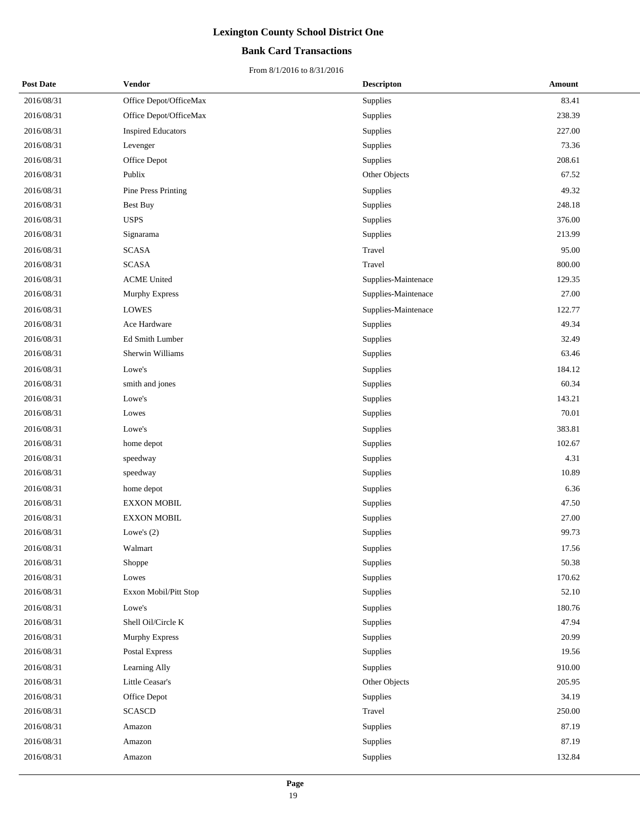## **Bank Card Transactions**

| <b>Post Date</b> | Vendor                    | <b>Descripton</b>   | Amount |
|------------------|---------------------------|---------------------|--------|
| 2016/08/31       | Office Depot/OfficeMax    | Supplies            | 83.41  |
| 2016/08/31       | Office Depot/OfficeMax    | Supplies            | 238.39 |
| 2016/08/31       | <b>Inspired Educators</b> | Supplies            | 227.00 |
| 2016/08/31       | Levenger                  | Supplies            | 73.36  |
| 2016/08/31       | Office Depot              | Supplies            | 208.61 |
| 2016/08/31       | Publix                    | Other Objects       | 67.52  |
| 2016/08/31       | Pine Press Printing       | Supplies            | 49.32  |
| 2016/08/31       | Best Buy                  | Supplies            | 248.18 |
| 2016/08/31       | <b>USPS</b>               | Supplies            | 376.00 |
| 2016/08/31       | Signarama                 | Supplies            | 213.99 |
| 2016/08/31       | <b>SCASA</b>              | Travel              | 95.00  |
| 2016/08/31       | <b>SCASA</b>              | Travel              | 800.00 |
| 2016/08/31       | <b>ACME United</b>        | Supplies-Maintenace | 129.35 |
| 2016/08/31       | Murphy Express            | Supplies-Maintenace | 27.00  |
| 2016/08/31       | <b>LOWES</b>              | Supplies-Maintenace | 122.77 |
| 2016/08/31       | Ace Hardware              | Supplies            | 49.34  |
| 2016/08/31       | Ed Smith Lumber           | Supplies            | 32.49  |
| 2016/08/31       | Sherwin Williams          | Supplies            | 63.46  |
| 2016/08/31       | Lowe's                    | Supplies            | 184.12 |
| 2016/08/31       | smith and jones           | Supplies            | 60.34  |
| 2016/08/31       | Lowe's                    | Supplies            | 143.21 |
| 2016/08/31       | Lowes                     | Supplies            | 70.01  |
| 2016/08/31       | Lowe's                    | Supplies            | 383.81 |
| 2016/08/31       | home depot                | Supplies            | 102.67 |
| 2016/08/31       | speedway                  | Supplies            | 4.31   |
| 2016/08/31       | speedway                  | Supplies            | 10.89  |
| 2016/08/31       | home depot                | Supplies            | 6.36   |
| 2016/08/31       | <b>EXXON MOBIL</b>        | Supplies            | 47.50  |
| 2016/08/31       | <b>EXXON MOBIL</b>        | Supplies            | 27.00  |
| 2016/08/31       | Lowe's $(2)$              | Supplies            | 99.73  |
| 2016/08/31       | Walmart                   | Supplies            | 17.56  |
| 2016/08/31       | Shoppe                    | Supplies            | 50.38  |
| 2016/08/31       | Lowes                     | Supplies            | 170.62 |
| 2016/08/31       | Exxon Mobil/Pitt Stop     | Supplies            | 52.10  |
| 2016/08/31       | Lowe's                    | Supplies            | 180.76 |
| 2016/08/31       | Shell Oil/Circle K        | Supplies            | 47.94  |
| 2016/08/31       | Murphy Express            | Supplies            | 20.99  |
| 2016/08/31       | Postal Express            | Supplies            | 19.56  |
| 2016/08/31       | Learning Ally             | Supplies            | 910.00 |
| 2016/08/31       | Little Ceasar's           | Other Objects       | 205.95 |
| 2016/08/31       | Office Depot              | Supplies            | 34.19  |
| 2016/08/31       | <b>SCASCD</b>             | Travel              | 250.00 |
| 2016/08/31       | Amazon                    | Supplies            | 87.19  |
| 2016/08/31       | Amazon                    | Supplies            | 87.19  |
| 2016/08/31       | Amazon                    | Supplies            | 132.84 |
|                  |                           |                     |        |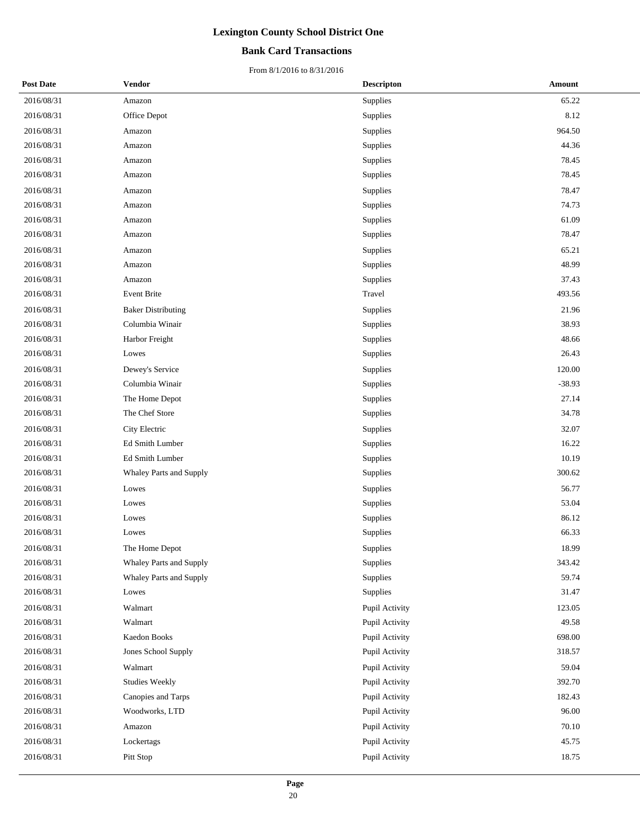## **Bank Card Transactions**

| <b>Post Date</b> | Vendor                    | <b>Descripton</b> | <b>Amount</b> |
|------------------|---------------------------|-------------------|---------------|
| 2016/08/31       | Amazon                    | Supplies          | 65.22         |
| 2016/08/31       | Office Depot              | Supplies          | 8.12          |
| 2016/08/31       | Amazon                    | Supplies          | 964.50        |
| 2016/08/31       | Amazon                    | Supplies          | 44.36         |
| 2016/08/31       | Amazon                    | Supplies          | 78.45         |
| 2016/08/31       | Amazon                    | Supplies          | 78.45         |
| 2016/08/31       | Amazon                    | Supplies          | 78.47         |
| 2016/08/31       | Amazon                    | Supplies          | 74.73         |
| 2016/08/31       | Amazon                    | Supplies          | 61.09         |
| 2016/08/31       | Amazon                    | Supplies          | 78.47         |
| 2016/08/31       | Amazon                    | Supplies          | 65.21         |
| 2016/08/31       | Amazon                    | Supplies          | 48.99         |
| 2016/08/31       | Amazon                    | Supplies          | 37.43         |
| 2016/08/31       | Event Brite               | Travel            | 493.56        |
| 2016/08/31       | <b>Baker Distributing</b> | Supplies          | 21.96         |
| 2016/08/31       | Columbia Winair           | Supplies          | 38.93         |
| 2016/08/31       | Harbor Freight            | Supplies          | 48.66         |
| 2016/08/31       | Lowes                     | Supplies          | 26.43         |
| 2016/08/31       | Dewey's Service           | Supplies          | 120.00        |
| 2016/08/31       | Columbia Winair           | Supplies          | $-38.93$      |
| 2016/08/31       | The Home Depot            | Supplies          | 27.14         |
| 2016/08/31       | The Chef Store            | Supplies          | 34.78         |
| 2016/08/31       | City Electric             | Supplies          | 32.07         |
| 2016/08/31       | Ed Smith Lumber           | Supplies          | 16.22         |
| 2016/08/31       | Ed Smith Lumber           | Supplies          | 10.19         |
| 2016/08/31       | Whaley Parts and Supply   | Supplies          | 300.62        |
| 2016/08/31       | Lowes                     | Supplies          | 56.77         |
| 2016/08/31       | Lowes                     | Supplies          | 53.04         |
| 2016/08/31       | Lowes                     | Supplies          | 86.12         |
| 2016/08/31       | Lowes                     | Supplies          | 66.33         |
| 2016/08/31       | The Home Depot            | Supplies          | 18.99         |
| 2016/08/31       | Whaley Parts and Supply   | Supplies          | 343.42        |
| 2016/08/31       | Whaley Parts and Supply   | Supplies          | 59.74         |
| 2016/08/31       | Lowes                     | Supplies          | 31.47         |
| 2016/08/31       | Walmart                   | Pupil Activity    | 123.05        |
| 2016/08/31       | Walmart                   | Pupil Activity    | 49.58         |
| 2016/08/31       | Kaedon Books              | Pupil Activity    | 698.00        |
| 2016/08/31       | Jones School Supply       | Pupil Activity    | 318.57        |
| 2016/08/31       | Walmart                   | Pupil Activity    | 59.04         |
| 2016/08/31       | <b>Studies Weekly</b>     | Pupil Activity    | 392.70        |
| 2016/08/31       | Canopies and Tarps        | Pupil Activity    | 182.43        |
| 2016/08/31       | Woodworks, LTD            | Pupil Activity    | 96.00         |
| 2016/08/31       | Amazon                    | Pupil Activity    | 70.10         |
| 2016/08/31       | Lockertags                | Pupil Activity    | 45.75         |
| 2016/08/31       | Pitt Stop                 | Pupil Activity    | 18.75         |
|                  |                           |                   |               |